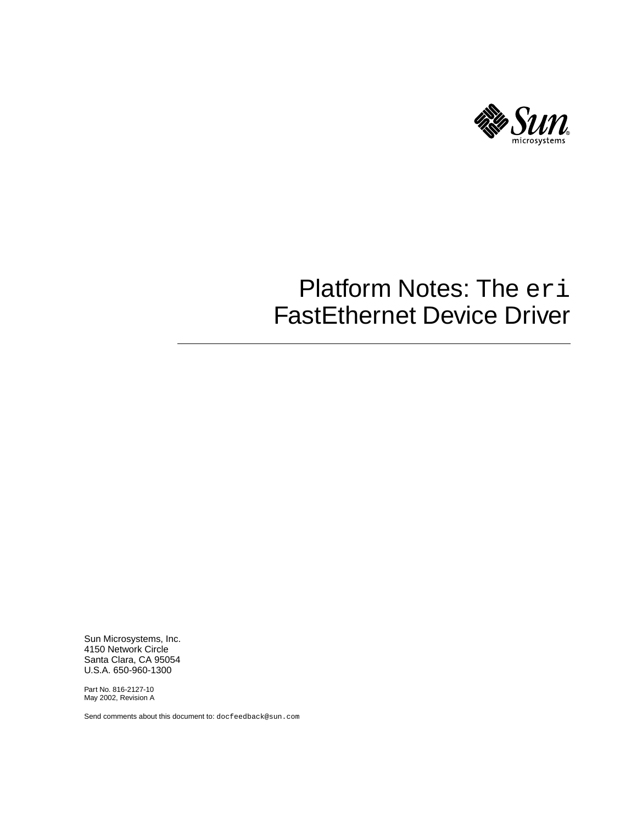

# Platform Notes: The eri FastEthernet Device Driver

Sun Microsystems, Inc. 4150 Network Circle Santa Clara, CA 95054 U.S.A. 650-960-1300

Part No. 816-2127-10 May 2002, Revision A

Send comments about this document to: docfeedback@sun.com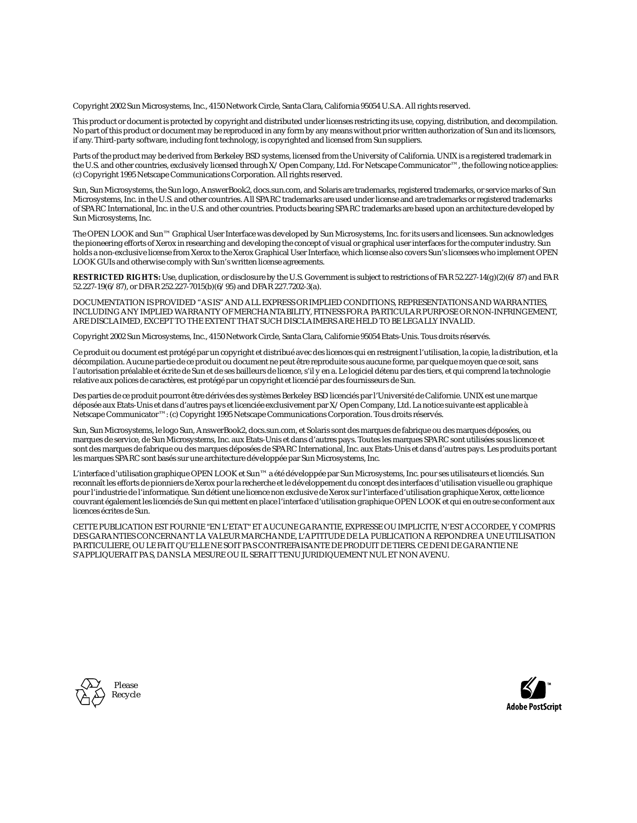Copyright 2002 Sun Microsystems, Inc., 4150 Network Circle, Santa Clara, California 95054 U.S.A. All rights reserved.

This product or document is protected by copyright and distributed under licenses restricting its use, copying, distribution, and decompilation. No part of this product or document may be reproduced in any form by any means without prior written authorization of Sun and its licensors, if any. Third-party software, including font technology, is copyrighted and licensed from Sun suppliers.

Parts of the product may be derived from Berkeley BSD systems, licensed from the University of California. UNIX is a registered trademark in the U.S. and other countries, exclusively licensed through X/Open Company, Ltd. For Netscape Communicator™, the following notice applies: (c) Copyright 1995 Netscape Communications Corporation. All rights reserved.

Sun, Sun Microsystems, the Sun logo, AnswerBook2, docs.sun.com, and Solaris are trademarks, registered trademarks, or service marks of Sun Microsystems, Inc. in the U.S. and other countries. All SPARC trademarks are used under license and are trademarks or registered trademarks of SPARC International, Inc. in the U.S. and other countries. Products bearing SPARC trademarks are based upon an architecture developed by Sun Microsystems, Inc.

The OPEN LOOK and Sun™ Graphical User Interface was developed by Sun Microsystems, Inc. for its users and licensees. Sun acknowledges the pioneering efforts of Xerox in researching and developing the concept of visual or graphical user interfaces for the computer industry. Sun holds a non-exclusive license from Xerox to the Xerox Graphical User Interface, which license also covers Sun's licensees who implement OPEN LOOK GUIs and otherwise comply with Sun's written license agreements.

**RESTRICTED RIGHTS:** Use, duplication, or disclosure by the U.S. Government is subject to restrictions of FAR 52.227-14(g)(2)(6/87) and FAR 52.227-19(6/87), or DFAR 252.227-7015(b)(6/95) and DFAR 227.7202-3(a).

DOCUMENTATION IS PROVIDED "AS IS" AND ALL EXPRESS OR IMPLIED CONDITIONS, REPRESENTATIONS AND WARRANTIES, INCLUDING ANY IMPLIED WARRANTY OF MERCHANTABILITY, FITNESS FOR A PARTICULAR PURPOSE OR NON-INFRINGEMENT, ARE DISCLAIMED, EXCEPT TO THE EXTENT THAT SUCH DISCLAIMERS ARE HELD TO BE LEGALLY INVALID.

Copyright 2002 Sun Microsystems, Inc., 4150 Network Circle, Santa Clara, Californie 95054 Etats-Unis. Tous droits réservés.

Ce produit ou document est protégé par un copyright et distribué avec des licences qui en restreignent l'utilisation, la copie, la distribution, et la décompilation. Aucune partie de ce produit ou document ne peut être reproduite sous aucune forme, par quelque moyen que ce soit, sans l'autorisation préalable et écrite de Sun et de ses bailleurs de licence, s'il y en a. Le logiciel détenu par des tiers, et qui comprend la technologie relative aux polices de caractères, est protégé par un copyright et licencié par des fournisseurs de Sun.

Des parties de ce produit pourront être dérivées des systèmes Berkeley BSD licenciés par l'Université de Californie. UNIX est une marque déposée aux Etats-Unis et dans d'autres pays et licenciée exclusivement par X/Open Company, Ltd. La notice suivante est applicable à Netscape Communicator™: (c) Copyright 1995 Netscape Communications Corporation. Tous droits réservés.

Sun, Sun Microsystems, le logo Sun, AnswerBook2, docs.sun.com, et Solaris sont des marques de fabrique ou des marques déposées, ou marques de service, de Sun Microsystems, Inc. aux Etats-Unis et dans d'autres pays. Toutes les marques SPARC sont utilisées sous licence et sont des marques de fabrique ou des marques déposées de SPARC International, Inc. aux Etats-Unis et dans d'autres pays. Les produits portant les marques SPARC sont basés sur une architecture développée par Sun Microsystems, Inc.

L'interface d'utilisation graphique OPEN LOOK et Sun™ a été développée par Sun Microsystems, Inc. pour ses utilisateurs et licenciés. Sun reconnaît les efforts de pionniers de Xerox pour la recherche et le développement du concept des interfaces d'utilisation visuelle ou graphique pour l'industrie de l'informatique. Sun détient une licence non exclusive de Xerox sur l'interface d'utilisation graphique Xerox, cette licence couvrant également les licenciés de Sun qui mettent en place l'interface d'utilisation graphique OPEN LOOK et qui en outre se conforment aux licences écrites de Sun.

CETTE PUBLICATION EST FOURNIE "EN L'ETAT" ET AUCUNE GARANTIE, EXPRESSE OU IMPLICITE, N'EST ACCORDEE, Y COMPRIS DES GARANTIES CONCERNANT LA VALEUR MARCHANDE, L'APTITUDE DE LA PUBLICATION A REPONDRE A UNE UTILISATION PARTICULIERE, OU LE FAIT QU'ELLE NE SOIT PAS CONTREFAISANTE DE PRODUIT DE TIERS. CE DENI DE GARANTIE NE S'APPLIQUERAIT PAS, DANS LA MESURE OU IL SERAIT TENU JURIDIQUEMENT NUL ET NON AVENU.



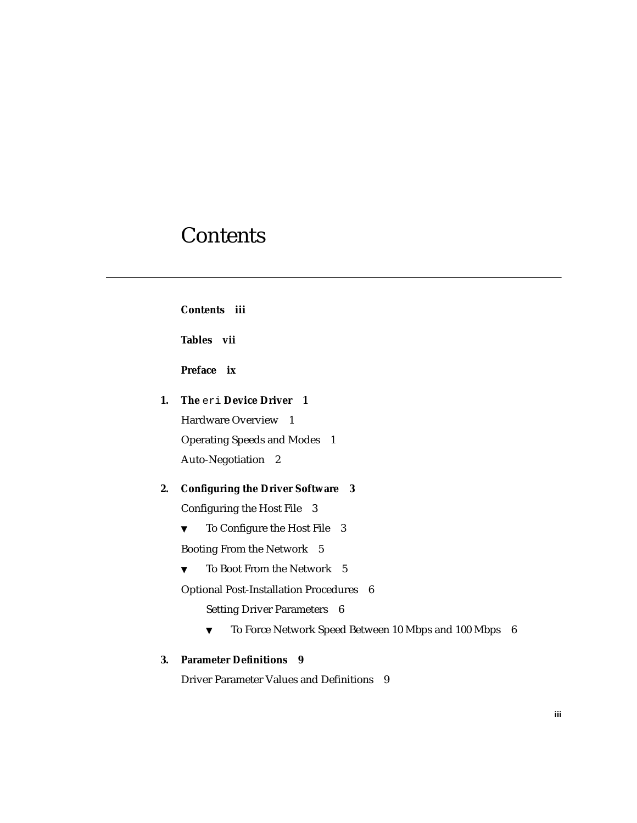## <span id="page-2-0"></span>**Contents**

**[Contents](#page-2-0) iii**

**[Tables](#page-6-0) vii**

**[Preface](#page-8-0) ix**

- **1. [The](#page-12-0)** eri **Device Driver 1** [Hardware Overview 1](#page-12-1) [Operating Speeds and Modes 1](#page-12-2) [Auto-Negotiation](#page-13-0) 2
- **2. [Configuring the Driver Software 3](#page-14-0)**

[Configuring the Host File 3](#page-14-1)

▼ [To Configure the Host File](#page-14-2) 3

[Booting From the Network 5](#page-16-0)

▼ [To Boot From the Network 5](#page-16-1)

[Optional Post-Installation Procedures](#page-17-0) 6

[Setting Driver Parameters](#page-17-1) 6

- ▼ [To Force Network Speed Between 10 Mbps and 100 Mbps](#page-17-2) 6
- **3. [Parameter Definitions](#page-20-0) 9**

[Driver Parameter Values and Definitions 9](#page-20-1)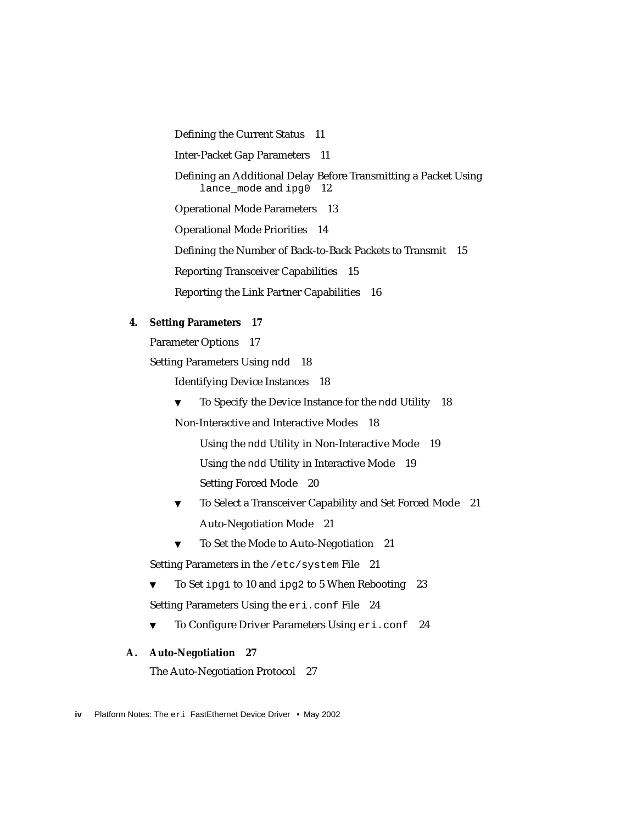[Defining the Current Status 1](#page-22-0)1 [Inter-Packet Gap Parameters 1](#page-22-1)1 [Defining an Additional Delay Before Transmitting a Packet Using](#page-23-0) lance mode and  $ipq0$  12 [Operational Mode Parameters](#page-24-0) 13 [Operational Mode Priorities](#page-25-0) 14 [Defining the Number of Back-to-Back Packets to Transmit 1](#page-26-0)5 [Reporting Transceiver Capabilities](#page-26-1) 15 [Reporting the Link Partner Capabilities](#page-27-0) 16

#### **4. [Setting Parameters 1](#page-28-0)7**

[Parameter Options](#page-28-1) 17

[Setting Parameters Using](#page-29-0) ndd 18

[Identifying Device Instances 1](#page-29-1)8

▼ [To Specify the Device Instance for the](#page-29-2) ndd Utility 18

[Non-Interactive and Interactive Modes 1](#page-29-3)8

[Using the](#page-30-0) ndd Utility in Non-Interactive Mode 19

[Using the](#page-30-1) ndd Utility in Interactive Mode 19

[Setting Forced Mode 2](#page-31-0)0

- ▼ [To Select a Transceiver Capability and Set Forced Mode 2](#page-32-0)1 [Auto-Negotiation Mode](#page-32-1) 21
- ▼ [To Set the Mode to Auto-Negotiation](#page-32-2) 21

[Setting Parameters in the](#page-32-3) /etc/system File 21

▼ [To Set](#page-34-0) ipg1 to 10 and ipg2 to 5 When Rebooting 23

[Setting Parameters Using the](#page-35-0) eri.conf File 24

[To Configure Driver Parameters Using](#page-35-1) eri.conf 24

#### **A. [Auto-Negotiation](#page-38-0) 27**

[The Auto-Negotiation Protocol](#page-38-1) 27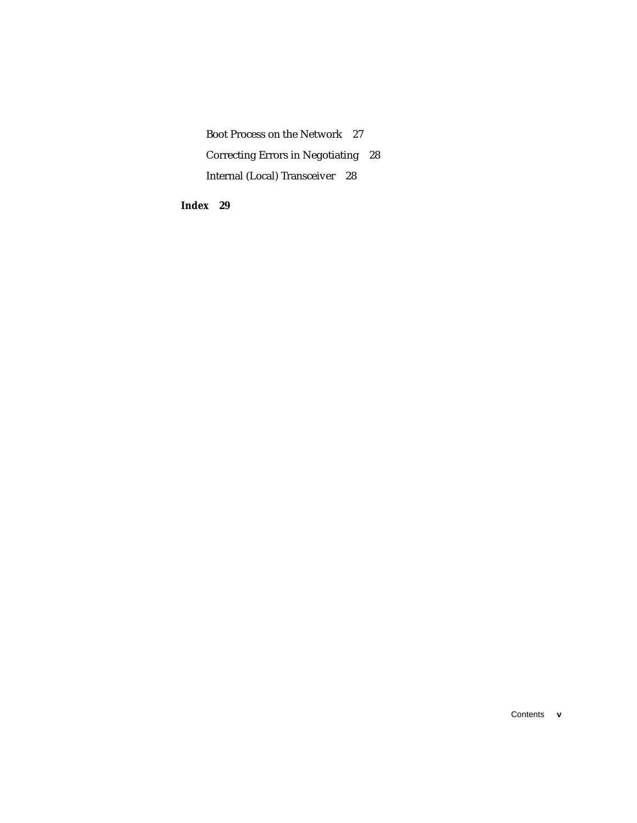[Boot Process on the Network 2](#page-38-2)7 [Correcting Errors in Negotiating 2](#page-39-0)8 [Internal \(Local\) Transceiver](#page-39-1) 28

**[Index 2](#page-40-0)9**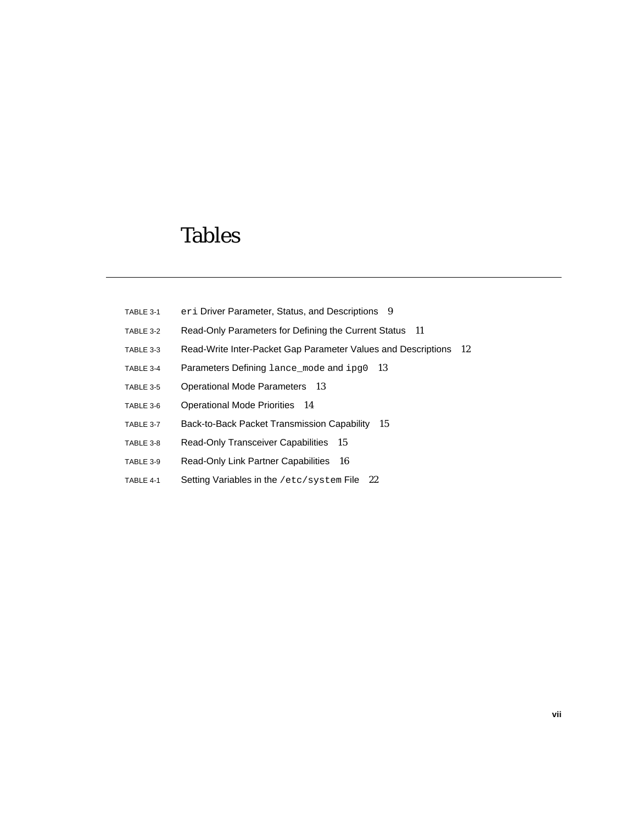## <span id="page-6-0"></span>Tables

- TABLE 3-1 eri Driver Parameter, Status, and Descriptions 9
- TABLE 3-2 Read-Only Parameters for Defining the Current Status 11
- TABLE 3-3 Read-Write Inter-Packet Gap Parameter Values and Descriptions 12
- TABLE 3-4 Parameters Defining lance\_mode and ipg0 13
- TABLE 3-5 Operational Mode Parameters 13
- TABLE 3-6 Operational Mode Priorities 14
- TABLE 3-7 Back-to-Back Packet Transmission Capability 15
- TABLE 3-8 Read-Only Transceiver Capabilities 15
- TABLE 3-9 Read-Only Link Partner Capabilities 16
- TABLE 4-1 Setting Variables in the /etc/system File 22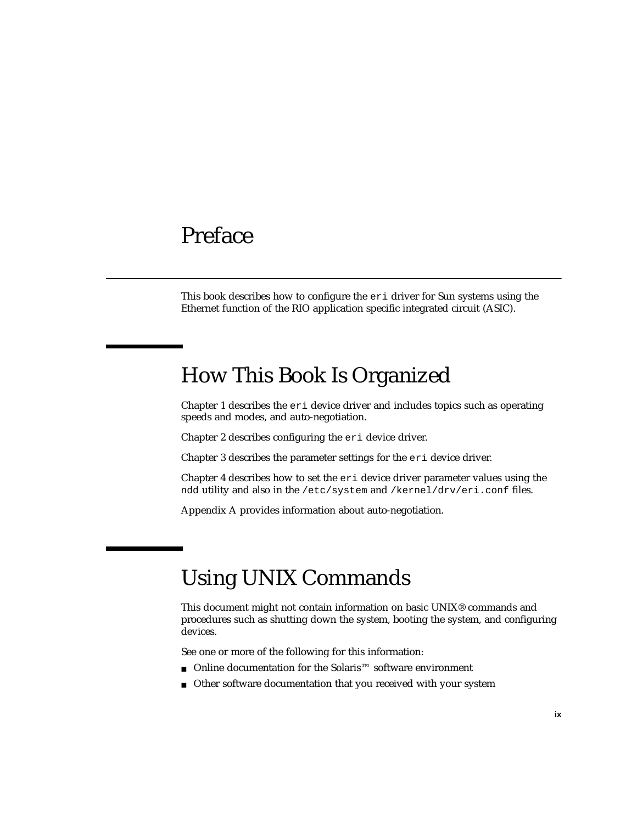## <span id="page-8-0"></span>Preface

This book describes how to configure the eri driver for Sun systems using the Ethernet function of the RIO application specific integrated circuit (ASIC).

# How This Book Is Organized

[Chapter 1](#page-12-3) describes the eri device driver and includes topics such as operating speeds and modes, and auto-negotiation.

[Chapter 2](#page-14-3) describes configuring the eri device driver.

[Chapter 3](#page-20-2) describes the parameter settings for the eri device driver.

[Chapter 4](#page-28-2) describes how to set the eri device driver parameter values using the ndd utility and also in the /etc/system and /kernel/drv/eri.conf files.

[Appendix A](#page-38-3) provides information about auto-negotiation.

# Using UNIX Commands

This document might not contain information on basic UNIX® commands and procedures such as shutting down the system, booting the system, and configuring devices.

See one or more of the following for this information:

- Online documentation for the Solaris™ software environment
- Other software documentation that you received with your system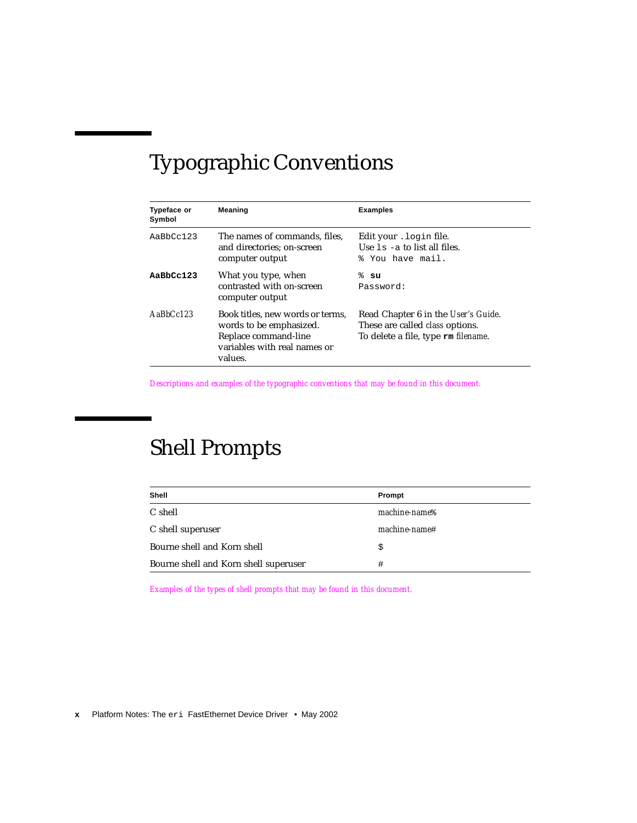# Typographic Conventions

| <b>Typeface or</b><br>Symbol | Meaning                                                                                                                        | <b>Examples</b>                                                                                                      |
|------------------------------|--------------------------------------------------------------------------------------------------------------------------------|----------------------------------------------------------------------------------------------------------------------|
| $A$ a $BbCc123$              | The names of commands, files,<br>and directories; on-screen<br>computer output                                                 | Edit your . login file.<br>Use $1s - a$ to list all files.<br>% You have mail.                                       |
| AaBbCc123                    | What you type, when<br>contrasted with on-screen<br>computer output                                                            | ៖ su<br>Password:                                                                                                    |
| $A$ aB $b$ Cc123             | Book titles, new words or terms,<br>words to be emphasized.<br>Replace command-line<br>variables with real names or<br>values. | Read Chapter 6 in the User's Guide.<br>These are called <i>class</i> options.<br>To delete a file, type rm filename. |

*Descriptions and examples of the typographic conventions that may be found in this document.*

# Shell Prompts

| Shell                                 | Prompt                    |
|---------------------------------------|---------------------------|
| C shell                               | machine-name <sup>*</sup> |
| C shell superuser                     | machine-name#             |
| Bourne shell and Korn shell           | S                         |
| Bourne shell and Korn shell superuser | #                         |

*Examples of the types of shell prompts that may be found in this document.*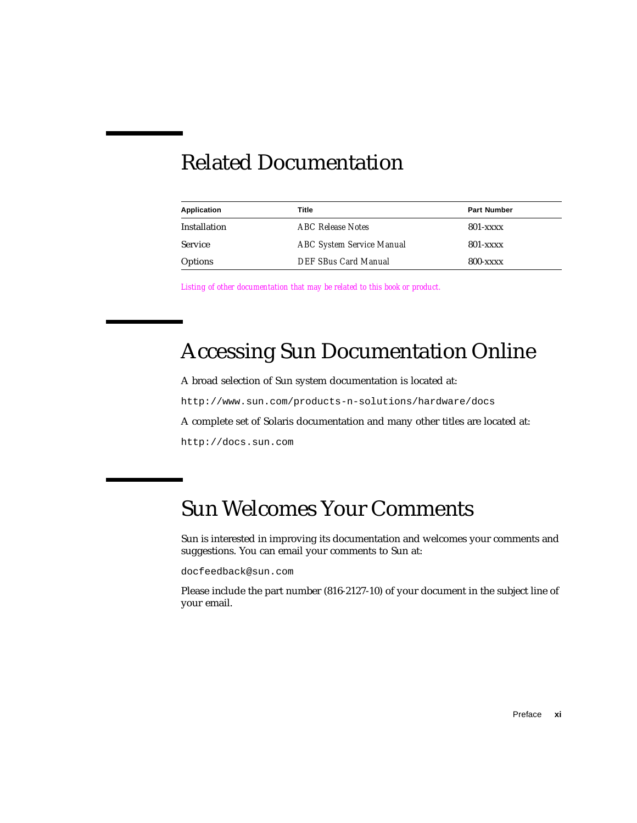# Related Documentation

| Application  | Title                            | <b>Part Number</b> |
|--------------|----------------------------------|--------------------|
| Installation | <b>ABC</b> Release Notes         | $801 -$ xxxx       |
| Service      | <b>ABC System Service Manual</b> | $801 -$ xxxx       |
| Options      | DEF SBus Card Manual             | <b>800-xxxx</b>    |

*Listing of other documentation that may be related to this book or product.*

# Accessing Sun Documentation Online

A broad selection of Sun system documentation is located at:

http://www.sun.com/products-n-solutions/hardware/docs

A complete set of Solaris documentation and many other titles are located at:

http://docs.sun.com

## Sun Welcomes Your Comments

Sun is interested in improving its documentation and welcomes your comments and suggestions. You can email your comments to Sun at:

docfeedback@sun.com

Please include the part number (816-2127-10) of your document in the subject line of your email.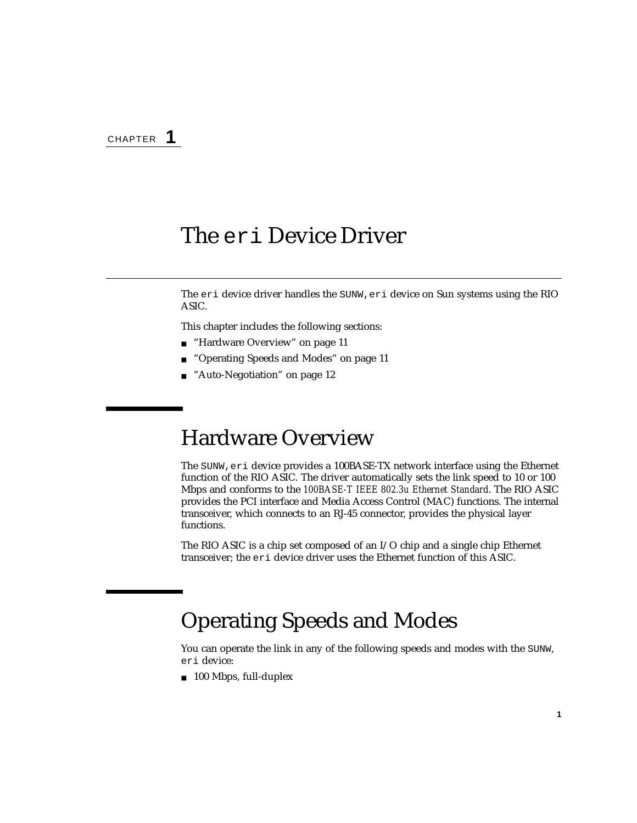## <span id="page-12-3"></span><span id="page-12-0"></span>The eri Device Driver

The eri device driver handles the SUNW,eri device on Sun systems using the RIO ASIC.

This chapter includes the following sections:

- ["Hardware Overview" on page 11](#page-12-1)
- ["Operating Speeds and Modes" on page 11](#page-12-2)
- ["Auto-Negotiation" on page 12](#page-13-0)

## <span id="page-12-4"></span><span id="page-12-1"></span>Hardware Overview

The SUNW, eri device provides a 100BASE-TX network interface using the Ethernet function of the RIO ASIC. The driver automatically sets the link speed to 10 or 100 Mbps and conforms to the *100BASE-T IEEE 802.3u Ethernet Standard*. The RIO ASIC provides the PCI interface and Media Access Control (MAC) functions. The internal transceiver, which connects to an RJ-45 connector, provides the physical layer functions.

The RIO ASIC is a chip set composed of an I/O chip and a single chip Ethernet transceiver; the eri device driver uses the Ethernet function of this ASIC.

# <span id="page-12-5"></span><span id="page-12-2"></span>Operating Speeds and Modes

You can operate the link in any of the following speeds and modes with the SUNW, eri device:

■ 100 Mbps, full-duplex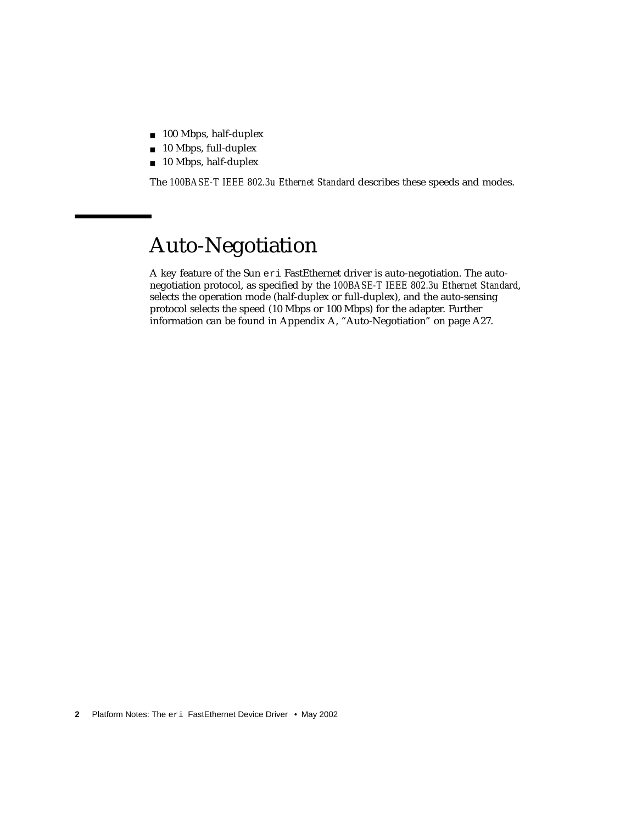- 100 Mbps, half-duplex
- 10 Mbps, full-duplex
- 10 Mbps, half-duplex

The *100BASE-T IEEE 802.3u Ethernet Standard* describes these speeds and modes.

# <span id="page-13-1"></span><span id="page-13-0"></span>Auto-Negotiation

A key feature of the Sun eri FastEthernet driver is auto-negotiation. The autonegotiation protocol, as specified by the *100BASE-T IEEE 802.3u Ethernet Standard*, selects the operation mode (half-duplex or full-duplex), and the auto-sensing protocol selects the speed (10 Mbps or 100 Mbps) for the adapter. Further information can be found in Appendix A, ["Auto-Negotiation" on page A27.](#page-38-3)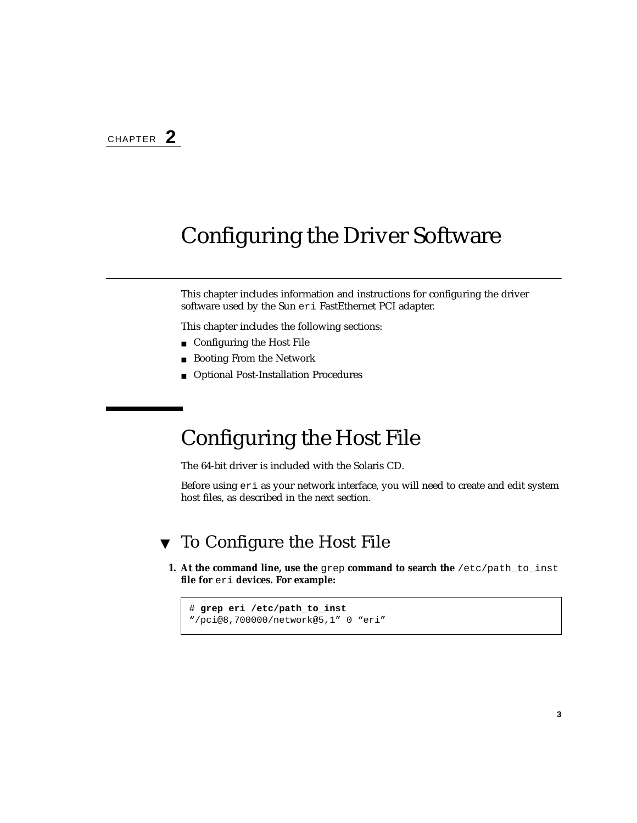# <span id="page-14-3"></span><span id="page-14-0"></span>Configuring the Driver Software

<span id="page-14-5"></span>This chapter includes information and instructions for configuring the driver software used by the Sun eri FastEthernet PCI adapter.

This chapter includes the following sections:

- [Configuring the Host File](#page-14-1)
- [Booting From the Network](#page-16-0)
- [Optional Post-Installation Procedures](#page-17-0)

# <span id="page-14-1"></span>Configuring the Host File

<span id="page-14-6"></span>The 64-bit driver is included with the Solaris CD.

Before using eri as your network interface, you will need to create and edit system host files, as described in the next section.

### <span id="page-14-4"></span><span id="page-14-2"></span>▼ To Configure the Host File

**1. At the command line, use the** grep **command to search the** /etc/path\_to\_inst **file for** eri **devices. For example:**

```
# grep eri /etc/path_to_inst
"/pci@8,700000/network@5,1" 0 "eri"
```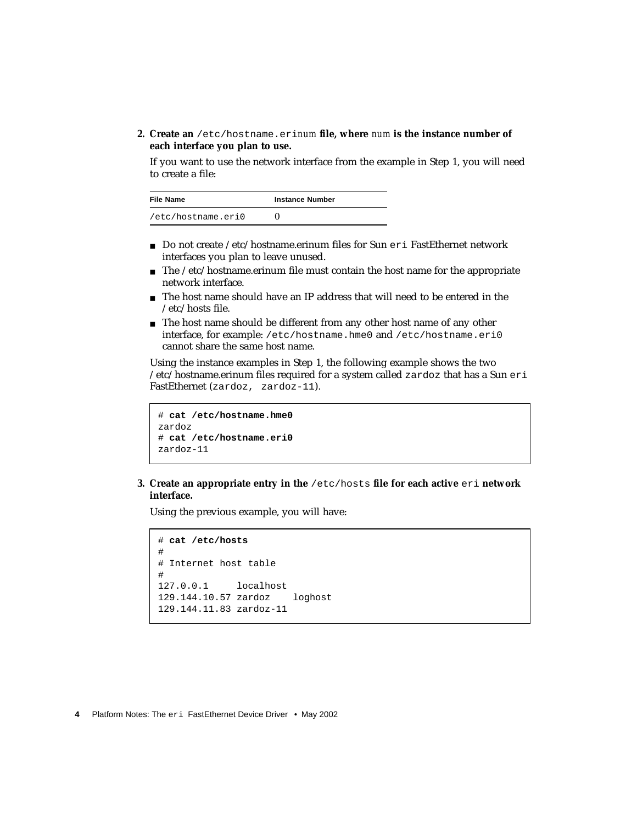<span id="page-15-0"></span>**2. Create an** /etc/hostname.eri*num* **file, where** *num* **is the instance number of each interface you plan to use.**

<span id="page-15-2"></span>If you want to use the network interface from the example in [Step 1](#page-14-4), you will need to create a file:

| <b>File Name</b>   | <b>Instance Number</b> |
|--------------------|------------------------|
| /etc/hostname.eri0 |                        |

- Do not create /etc/hostname.erinum files for Sun eri FastEthernet network interfaces you plan to leave unused.
- The /etc/hostname.erinum file must contain the host name for the appropriate network interface.
- <span id="page-15-1"></span>■ The host name should have an IP address that will need to be entered in the /etc/hosts file.
- The host name should be different from any other host name of any other interface, for example: /etc/hostname.hme0 and /etc/hostname.eri0 cannot share the same host name.

Using the instance examples in [Step 1](#page-14-4), the following example shows the two /etc/hostname.erinum files required for a system called zardoz that has a Sun eri FastEthernet (zardoz, zardoz-11).

```
# cat /etc/hostname.hme0
zardoz
# cat /etc/hostname.eri0
zardoz-11
```
**3. Create an appropriate entry in the** /etc/hosts **file for each active** eri **network interface.**

Using the previous example, you will have:

```
# cat /etc/hosts
#
# Internet host table
#
127.0.0.1 localhost
129.144.10.57 zardoz loghost
129.144.11.83 zardoz-11
```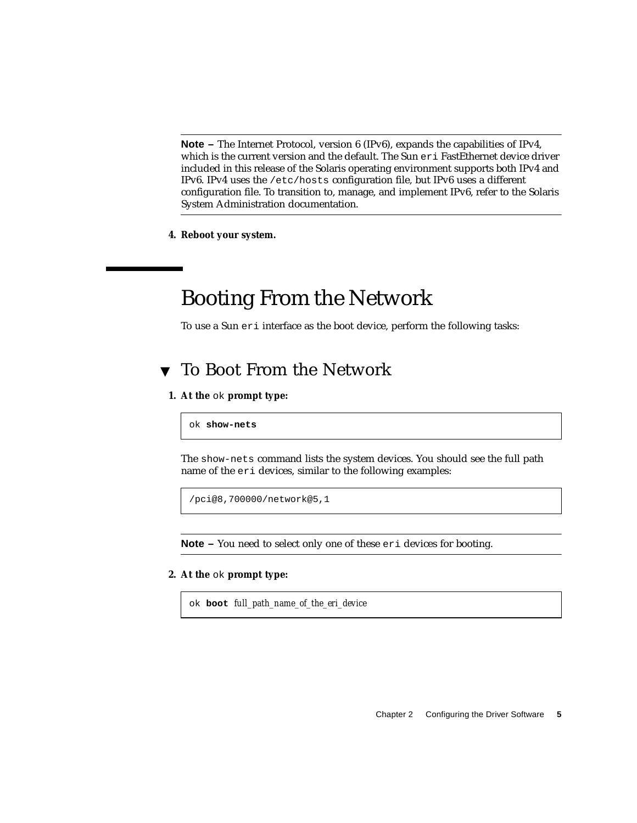**Note –** The Internet Protocol, version 6 (IPv6), expands the capabilities of IPv4, which is the current version and the default. The Sun eri FastEthernet device driver included in this release of the Solaris operating environment supports both IPv4 and IPv6. IPv4 uses the /etc/hosts configuration file, but IPv6 uses a different configuration file. To transition to, manage, and implement IPv6, refer to the Solaris System Administration documentation.

**4. Reboot your system.**

# <span id="page-16-2"></span><span id="page-16-0"></span>Booting From the Network

To use a Sun eri interface as the boot device, perform the following tasks:

### <span id="page-16-1"></span>▼ To Boot From the Network

**1. At the** ok **prompt type:**

ok **show-nets**

<span id="page-16-3"></span>The show-nets command lists the system devices. You should see the full path name of the eri devices, similar to the following examples:

/pci@8,700000/network@5,1

**Note –** You need to select only one of these eri devices for booting.

**2. At the** ok **prompt type:**

ok **boot** *full\_path\_name\_of\_the\_eri\_device*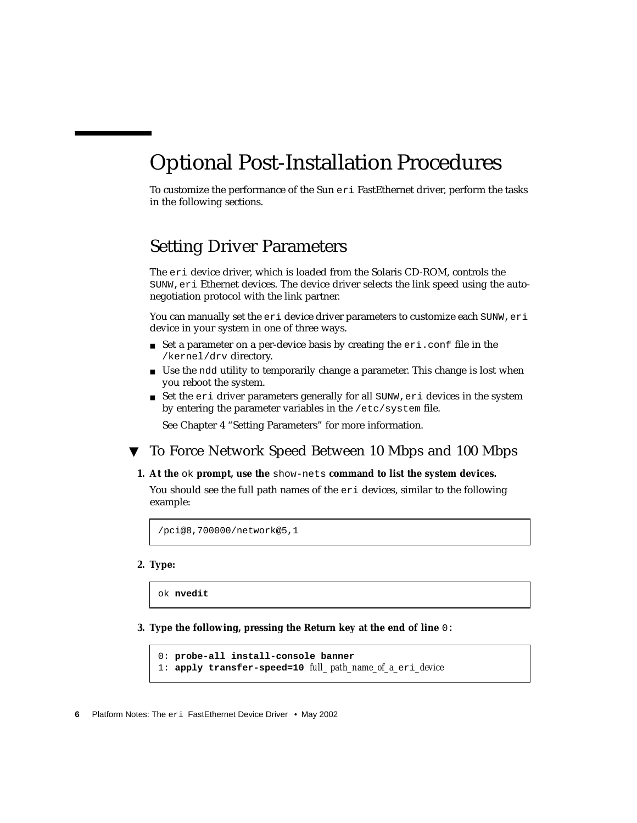# <span id="page-17-4"></span><span id="page-17-0"></span>Optional Post-Installation Procedures

To customize the performance of the Sun eri FastEthernet driver, perform the tasks in the following sections.

### <span id="page-17-5"></span><span id="page-17-1"></span>Setting Driver Parameters

The eri device driver, which is loaded from the Solaris CD-ROM, controls the SUNW,eri Ethernet devices. The device driver selects the link speed using the autonegotiation protocol with the link partner.

You can manually set the  $eri$  device driver parameters to customize each SUNW,  $eri$ device in your system in one of three ways.

- Set a parameter on a per-device basis by creating the eri.conf file in the /kernel/drv directory.
- Use the ndd utility to temporarily change a parameter. This change is lost when you reboot the system.
- Set the eri driver parameters generally for all SUNW, eri devices in the system by entering the parameter variables in the /etc/system file.

<span id="page-17-6"></span>See [Chapter 4](#page-28-2) "Setting Parameters" for more information.

### <span id="page-17-2"></span>▼ To Force Network Speed Between 10 Mbps and 100 Mbps

**1. At the** ok **prompt, use the** show-nets **command to list the system devices.**

You should see the full path names of the eri devices, similar to the following example:

/pci@8,700000/network@5,1

#### **2. Type:**

<span id="page-17-3"></span>ok **nvedit**

**3. Type the following, pressing the Return key at the end of line** 0:

```
0: probe-all install-console banner
1: apply transfer-speed=10 full_ path_name_of_a_eri_device
```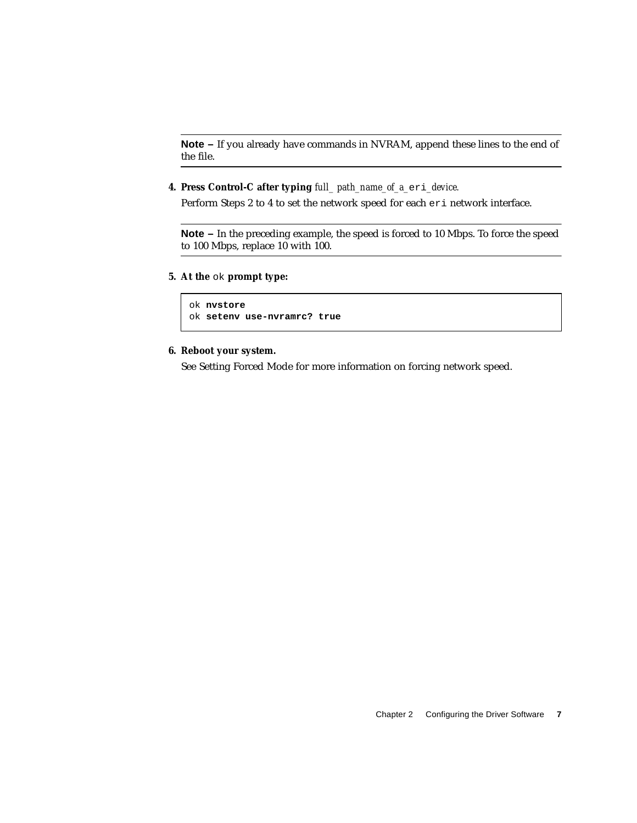**Note –** If you already have commands in NVRAM, append these lines to the end of the file.

**4. Press Control-C after typing** *full\_ path\_name\_of\_a\_*eri*\_device.*

Perform Steps 2 to 4 to set the network speed for each eri network interface.

**Note –** In the preceding example, the speed is forced to 10 Mbps. To force the speed to 100 Mbps, replace 10 with 100.

**5. At the** ok **prompt type:**

```
ok nvstore
ok setenv use-nvramrc? true
```
**6. Reboot your system.**

See [Setting Forced Mode](#page-31-1) for more information on forcing network speed.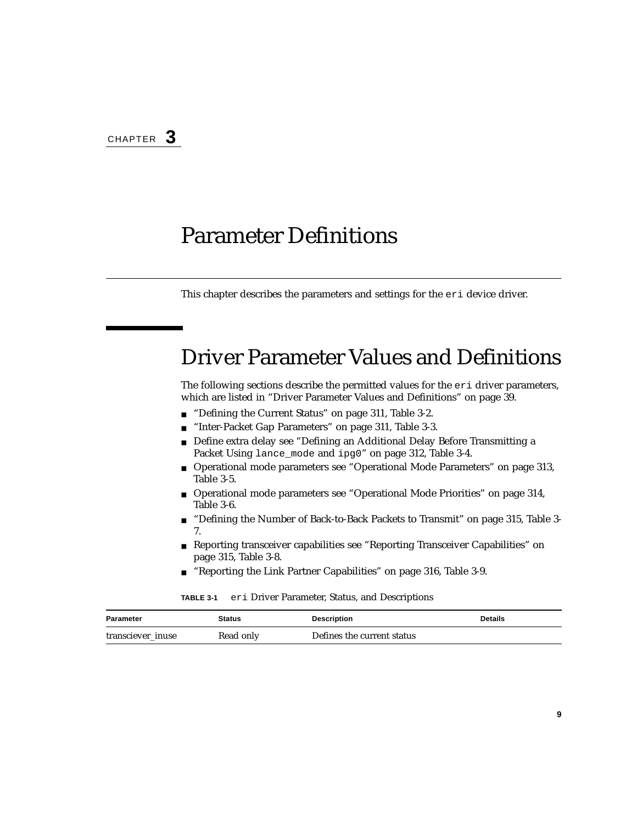## <span id="page-20-2"></span><span id="page-20-0"></span>Parameter Definitions

This chapter describes the parameters and settings for the eri device driver.

## <span id="page-20-3"></span><span id="page-20-1"></span>Driver Parameter Values and Definitions

The following sections describe the permitted values for the eri driver parameters, which are listed in ["Driver Parameter Values and Definitions" on page 39.](#page-20-1)

- ["Defining the Current Status" on page 311, Table 3-2.](#page-22-0)
- ["Inter-Packet Gap Parameters" on page 311](#page-22-1), Table 3-3.
- Define extra delay see ["Defining an Additional Delay Before Transmitting a](#page-23-0) Packet Using lance mode and ipg0[" on page 312,](#page-23-0) Table 3-4.
- Operational mode parameters see ["Operational Mode Parameters" on page 313](#page-24-0), Table 3-5.
- Operational mode parameters see ["Operational Mode Priorities" on page 314](#page-25-0), Table 3-6.
- ["Defining the Number of Back-to-Back Packets to Transmit" on page 315,](#page-26-0) Table 3-7.
- Reporting transceiver capabilities see ["Reporting Transceiver Capabilities" on](#page-26-1) [page 315](#page-26-1), Table 3-8.
- ["Reporting the Link Partner Capabilities" on page 316,](#page-27-0) Table 3-9.

<span id="page-20-4"></span>

| <b>Parameter</b>  | Status    | <b>Description</b>         | <b>Details</b> |
|-------------------|-----------|----------------------------|----------------|
| transciever inuse | Read only | Defines the current status |                |

**TABLE 3-1** eri Driver Parameter, Status, and Descriptions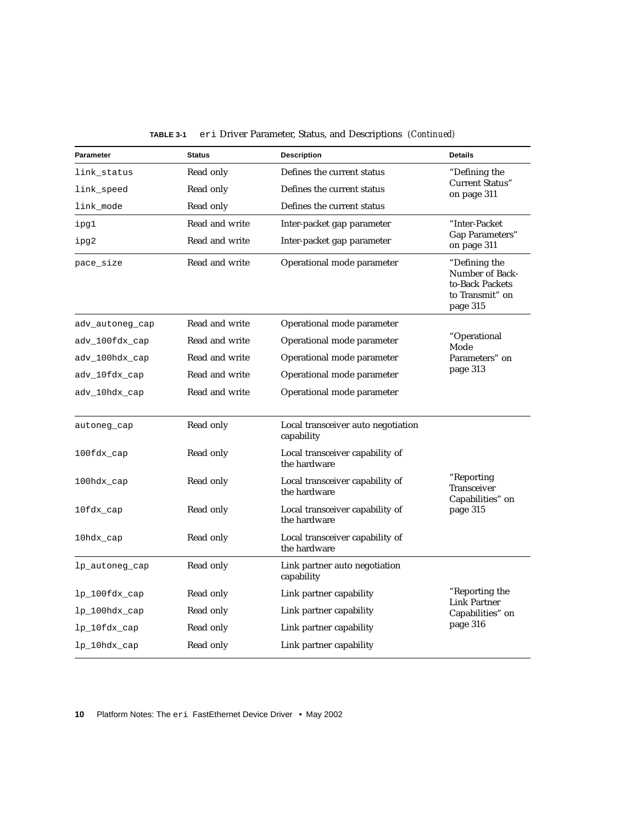<span id="page-21-20"></span><span id="page-21-19"></span><span id="page-21-18"></span><span id="page-21-17"></span><span id="page-21-16"></span><span id="page-21-15"></span><span id="page-21-14"></span><span id="page-21-13"></span><span id="page-21-12"></span><span id="page-21-11"></span><span id="page-21-10"></span><span id="page-21-9"></span><span id="page-21-8"></span><span id="page-21-7"></span><span id="page-21-6"></span><span id="page-21-5"></span><span id="page-21-4"></span><span id="page-21-3"></span><span id="page-21-2"></span><span id="page-21-1"></span><span id="page-21-0"></span>

| Parameter       | <b>Status</b>  | <b>Description</b>                               | <b>Details</b>                                                                     |  |
|-----------------|----------------|--------------------------------------------------|------------------------------------------------------------------------------------|--|
| link_status     | Read only      | Defines the current status                       | "Defining the                                                                      |  |
| link_speed      | Read only      | Defines the current status                       | Current Status"<br>on page 311                                                     |  |
| link_mode       | Read only      | Defines the current status                       |                                                                                    |  |
| ipg1            | Read and write | Inter-packet gap parameter                       | "Inter-Packet                                                                      |  |
| ipg2            | Read and write | Inter-packet gap parameter                       | <b>Gap Parameters</b> "<br>on page 311                                             |  |
| pace_size       | Read and write | Operational mode parameter                       | "Defining the<br>Number of Back-<br>to-Back Packets<br>to Transmit" on<br>page 315 |  |
| adv_autoneg_cap | Read and write | Operational mode parameter                       |                                                                                    |  |
| adv_100fdx_cap  | Read and write | Operational mode parameter                       | "Operational<br>Mode                                                               |  |
| adv_100hdx_cap  | Read and write | Operational mode parameter                       | Parameters" on<br>page 313                                                         |  |
| adv_10fdx_cap   | Read and write | Operational mode parameter                       |                                                                                    |  |
| adv_10hdx_cap   | Read and write | Operational mode parameter                       |                                                                                    |  |
| autoneg_cap     | Read only      | Local transceiver auto negotiation<br>capability |                                                                                    |  |
| $100fdx_cap$    | Read only      | Local transceiver capability of<br>the hardware  |                                                                                    |  |
| 100hdx_cap      | Read only      | Local transceiver capability of<br>the hardware  | "Reporting<br><b>Transceiver</b><br>Capabilities" on                               |  |
| 10fdx_cap       | Read only      | Local transceiver capability of<br>the hardware  | page 315                                                                           |  |
| 10hdx_cap       | Read only      | Local transceiver capability of<br>the hardware  |                                                                                    |  |
| lp_autoneg_cap  | Read only      | Link partner auto negotiation<br>capability      |                                                                                    |  |
| lp_100fdx_cap   | Read only      | Link partner capability                          | "Reporting the                                                                     |  |
| lp_100hdx_cap   | Read only      | Link partner capability                          | <b>Link Partner</b><br>Capabilities" on                                            |  |
| lp_10fdx_cap    | Read only      | Link partner capability                          | page 316                                                                           |  |
| lp_10hdx_cap    | Read only      | Link partner capability                          |                                                                                    |  |

**TABLE 3-1** eri Driver Parameter, Status, and Descriptions *(Continued)*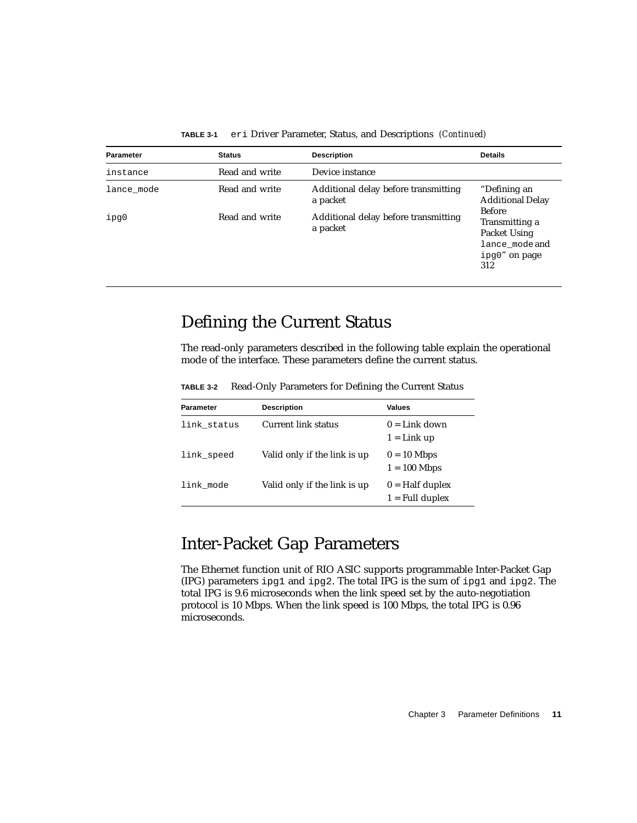<span id="page-22-7"></span><span id="page-22-6"></span><span id="page-22-4"></span>

| Parameter  | <b>Status</b>  | <b>Description</b>                               | <b>Details</b>                                                                            |
|------------|----------------|--------------------------------------------------|-------------------------------------------------------------------------------------------|
| instance   | Read and write | Device instance                                  |                                                                                           |
| lance mode | Read and write | Additional delay before transmitting<br>a packet | "Defining an<br><b>Additional Delay</b>                                                   |
| ipg0       | Read and write | Additional delay before transmitting<br>a packet | <b>Before</b><br>Transmitting a<br>Packet Using<br>lance_mode and<br>ipg0" on page<br>312 |

**TABLE 3-1** eri Driver Parameter, Status, and Descriptions *(Continued)*

### <span id="page-22-3"></span><span id="page-22-0"></span>Defining the Current Status

<span id="page-22-2"></span>The read-only parameters described in the following table explain the operational mode of the interface. These parameters define the current status.

**TABLE 3-2** Read-Only Parameters for Defining the Current Status

<span id="page-22-10"></span><span id="page-22-9"></span>

| Parameter   | <b>Description</b>           | Values                                            |
|-------------|------------------------------|---------------------------------------------------|
| link status | Current link status          | $0 =$ Link down<br>$1 =$ Link up                  |
| link_speed  | Valid only if the link is up | $0 = 10$ Mbps<br>$1 = 100$ Mbps                   |
| link mode   | Valid only if the link is up | $0 = \text{Half duplex}$<br>$1 = Full \n  duplex$ |

### <span id="page-22-8"></span><span id="page-22-5"></span><span id="page-22-1"></span>Inter-Packet Gap Parameters

The Ethernet function unit of RIO ASIC supports programmable Inter-Packet Gap (IPG) parameters ipg1 and ipg2. The total IPG is the sum of ipg1 and ipg2. The total IPG is 9.6 microseconds when the link speed set by the auto-negotiation protocol is 10 Mbps. When the link speed is 100 Mbps, the total IPG is 0.96 microseconds.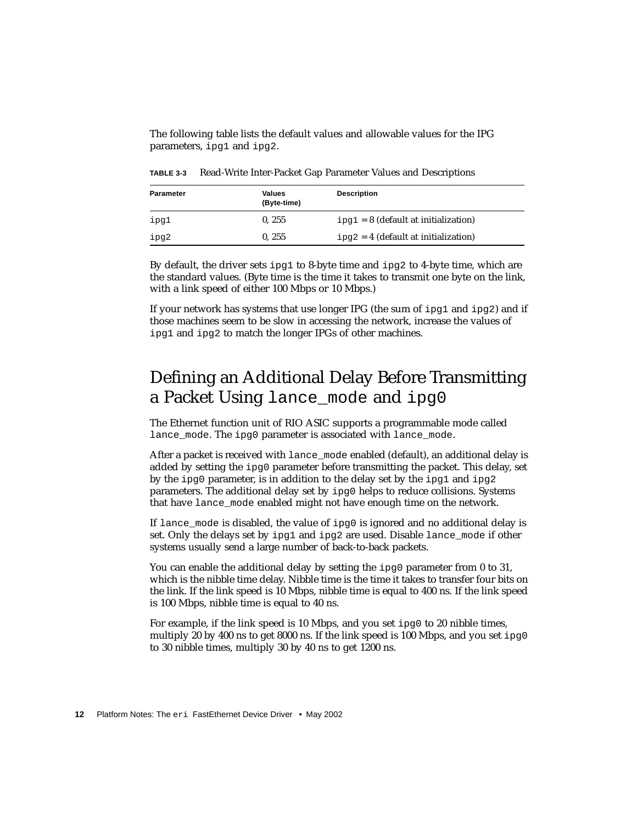The following table lists the default values and allowable values for the IPG parameters, ipg1 and ipg2.

<span id="page-23-2"></span>

| <b>Parameter</b> | Values<br>(Byte-time) | <b>Description</b>                     |
|------------------|-----------------------|----------------------------------------|
| ipg1             | 0.255                 | $ipq1 = 8$ (default at initialization) |
| ipg2             | 0.255                 | $ipq2 = 4$ (default at initialization) |

**TABLE 3-3** Read-Write Inter-Packet Gap Parameter Values and Descriptions

<span id="page-23-3"></span>By default, the driver sets  $ipq1$  to 8-byte time and  $ipq2$  to 4-byte time, which are the standard values. (Byte time is the time it takes to transmit one byte on the link, with a link speed of either 100 Mbps or 10 Mbps.)

If your network has systems that use longer IPG (the sum of  $ipq1$  and  $ipq2$ ) and if those machines seem to be slow in accessing the network, increase the values of ipg1 and ipg2 to match the longer IPGs of other machines.

## <span id="page-23-1"></span><span id="page-23-0"></span>Defining an Additional Delay Before Transmitting a Packet Using lance\_mode and ipg0

The Ethernet function unit of RIO ASIC supports a programmable mode called lance\_mode. The ipg0 parameter is associated with lance\_mode.

After a packet is received with lance mode enabled (default), an additional delay is added by setting the ipg0 parameter before transmitting the packet. This delay, set by the ipg0 parameter, is in addition to the delay set by the ipg1 and ipg2 parameters. The additional delay set by ipg0 helps to reduce collisions. Systems that have lance mode enabled might not have enough time on the network.

If lance mode is disabled, the value of  $ipq0$  is ignored and no additional delay is set. Only the delays set by  $ipq1$  and  $ipq2$  are used. Disable lance mode if other systems usually send a large number of back-to-back packets.

You can enable the additional delay by setting the  $ipq0$  parameter from 0 to 31, which is the nibble time delay. Nibble time is the time it takes to transfer four bits on the link. If the link speed is 10 Mbps, nibble time is equal to 400 ns. If the link speed is 100 Mbps, nibble time is equal to 40 ns.

For example, if the link speed is 10 Mbps, and you set  $ipq0$  to 20 nibble times, multiply 20 by 400 ns to get 8000 ns. If the link speed is 100 Mbps, and you set  $i_{pq}$ to 30 nibble times, multiply 30 by 40 ns to get 1200 ns.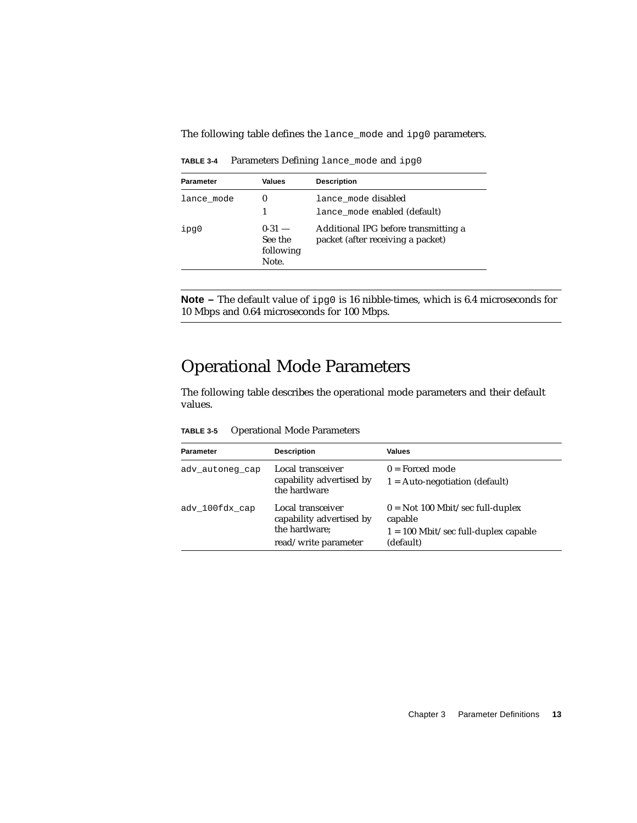The following table defines the lance\_mode and ipg0 parameters.

<span id="page-24-4"></span><span id="page-24-3"></span>

| <b>Parameter</b> | <b>Values</b>                             | <b>Description</b>                                                        |
|------------------|-------------------------------------------|---------------------------------------------------------------------------|
| lance mode       | 1                                         | lance_mode disabled<br>lance_mode enabled (default)                       |
| ipg0             | $0-31 -$<br>See the<br>following<br>Note. | Additional IPG before transmitting a<br>packet (after receiving a packet) |

**TABLE 3-4** Parameters Defining lance\_mode and ipg0

**Note –** The default value of ipg0 is 16 nibble-times, which is 6.4 microseconds for 10 Mbps and 0.64 microseconds for 100 Mbps.

## <span id="page-24-5"></span><span id="page-24-0"></span>Operational Mode Parameters

The following table describes the operational mode parameters and their default values.

<span id="page-24-2"></span><span id="page-24-1"></span>

| Parameter       | <b>Description</b>                                                                     | Values                                                                                               |
|-----------------|----------------------------------------------------------------------------------------|------------------------------------------------------------------------------------------------------|
| adv autoneg cap | Local transceiver<br>capability advertised by<br>the hardware                          | $0 =$ Forced mode<br>$1 = Auto-negotiation (default)$                                                |
| adv 100fdx cap  | Local transceiver<br>capability advertised by<br>the hardware:<br>read/write parameter | $0 =$ Not 100 Mbit/sec full-duplex<br>capable<br>$1 = 100$ Mbit/sec full-duplex capable<br>(default) |

**TABLE 3-5** Operational Mode Parameters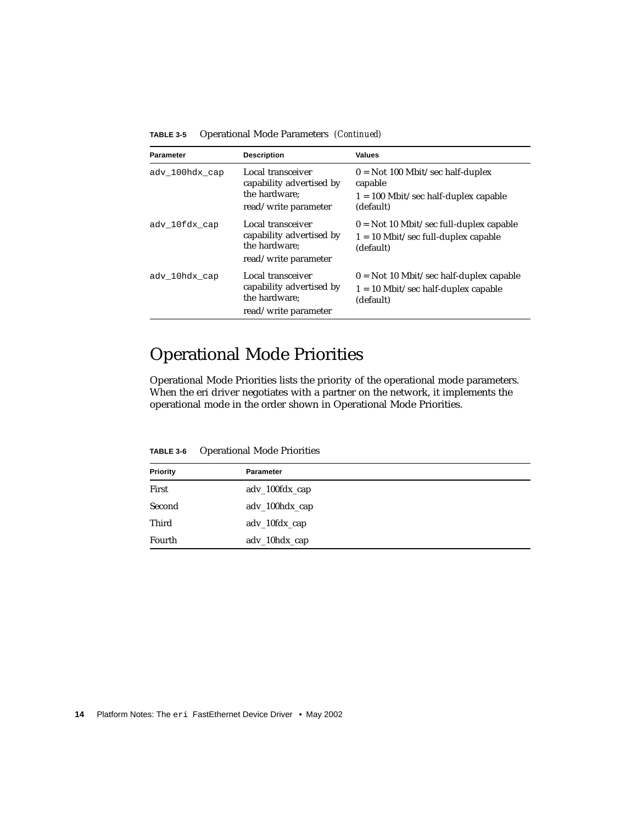<span id="page-25-3"></span><span id="page-25-2"></span>

| <b>Parameter</b> | <b>Description</b>                                                                     | Values                                                                                               |
|------------------|----------------------------------------------------------------------------------------|------------------------------------------------------------------------------------------------------|
| adv 100hdx cap   | Local transceiver<br>capability advertised by<br>the hardware:<br>read/write parameter | $0 = Not 100$ Mbit/sec half-duplex<br>capable<br>$1 = 100$ Mbit/sec half-duplex capable<br>(default) |
| adv 10fdx cap    | Local transceiver<br>capability advertised by<br>the hardware:<br>read/write parameter | $0 =$ Not 10 Mbit/sec full-duplex capable<br>$1 = 10$ Mbit/sec full-duplex capable<br>(default)      |
| adv 10hdx cap    | Local transceiver<br>capability advertised by<br>the hardware:<br>read/write parameter | $0 =$ Not 10 Mbit/sec half-duplex capable<br>$1 = 10$ Mbit/sec half-duplex capable<br>(default)      |

**TABLE 3-5** Operational Mode Parameters *(Continued)*

### <span id="page-25-5"></span><span id="page-25-4"></span><span id="page-25-0"></span>Operational Mode Priorities

[Operational Mode Priorities](#page-25-1) lists the priority of the operational mode parameters. When the eri driver negotiates with a partner on the network, it implements the operational mode in the order shown in [Operational Mode Priorities](#page-25-1).

<span id="page-25-1"></span>**TABLE 3-6** Operational Mode Priorities

| <b>Priority</b> | <b>Parameter</b> |  |
|-----------------|------------------|--|
| First           | adv_100fdx_cap   |  |
| Second          | adv_100hdx_cap   |  |
| Third           | adv_10fdx_cap    |  |
| Fourth          | adv_10hdx_cap    |  |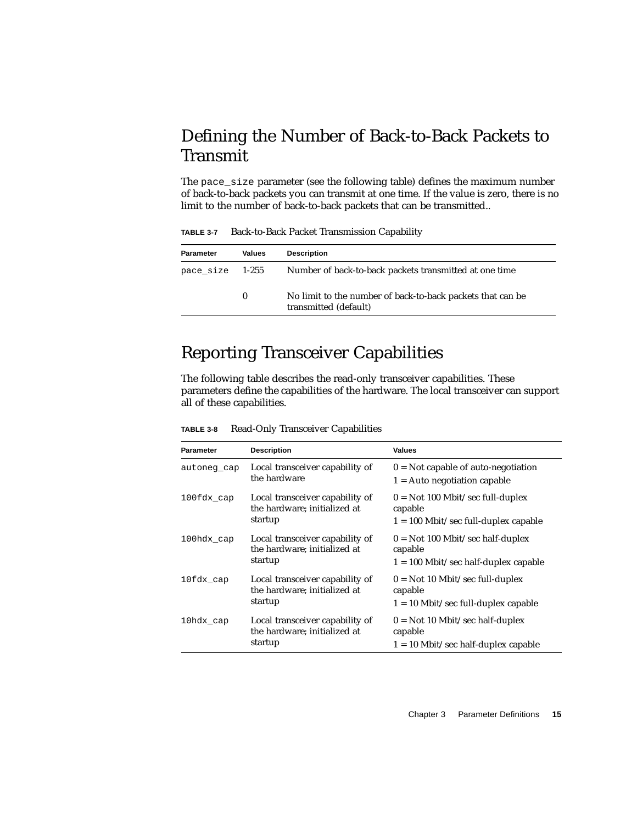### <span id="page-26-7"></span><span id="page-26-0"></span>Defining the Number of Back-to-Back Packets to Transmit

The pace\_size parameter (see the following table) defines the maximum number of back-to-back packets you can transmit at one time. If the value is zero, there is no limit to the number of back-to-back packets that can be transmitted..

<span id="page-26-8"></span>

| Parameter       | Values   | <b>Description</b>                                                                  |
|-----------------|----------|-------------------------------------------------------------------------------------|
| pace_size 1-255 |          | Number of back-to-back packets transmitted at one time                              |
|                 | $\bf{0}$ | No limit to the number of back-to-back packets that can be<br>transmitted (default) |

**TABLE 3-7** Back-to-Back Packet Transmission Capability

### <span id="page-26-9"></span><span id="page-26-1"></span>Reporting Transceiver Capabilities

The following table describes the read-only transceiver capabilities. These parameters define the capabilities of the hardware. The local transceiver can support all of these capabilities.

**TABLE 3-8** Read-Only Transceiver Capabilities

<span id="page-26-6"></span><span id="page-26-5"></span><span id="page-26-4"></span><span id="page-26-3"></span><span id="page-26-2"></span>

| <b>Parameter</b> | <b>Description</b>                                                         | <b>Values</b>                                                                           |
|------------------|----------------------------------------------------------------------------|-----------------------------------------------------------------------------------------|
| autoneg_cap      | Local transceiver capability of<br>the hardware                            | $0 =$ Not capable of auto-negotiation<br>$1 =$ Auto negotiation capable                 |
| $100fdx_cap$     | Local transceiver capability of<br>the hardware; initialized at<br>startup | $0 = Not 100 Mbit/sec full-duplex$<br>capable<br>$1 = 100$ Mbit/sec full-duplex capable |
| 100hdx_cap       | Local transceiver capability of<br>the hardware; initialized at<br>startup | $0 =$ Not 100 Mbit/sec half-duplex<br>capable<br>$1 = 100$ Mbit/sec half-duplex capable |
| $10fdx$ cap      | Local transceiver capability of<br>the hardware; initialized at<br>startup | $0 =$ Not 10 Mbit/sec full-duplex<br>capable<br>$1 = 10$ Mbit/sec full-duplex capable   |
| 10hdx_cap        | Local transceiver capability of<br>the hardware; initialized at<br>startup | $0 = Not 10$ Mbit/sec half-duplex<br>capable<br>$1 = 10$ Mbit/sec half-duplex capable   |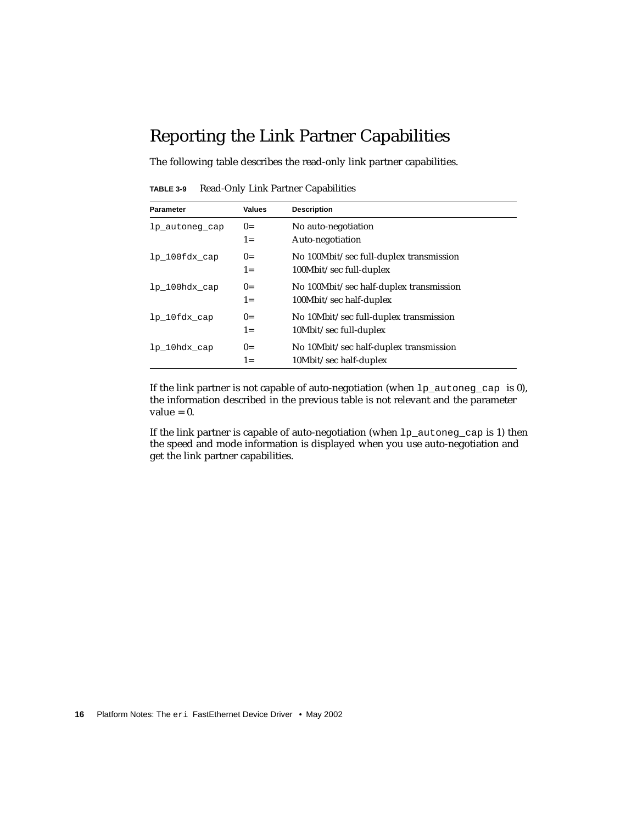### <span id="page-27-7"></span><span id="page-27-0"></span>Reporting the Link Partner Capabilities

<span id="page-27-1"></span>The following table describes the read-only link partner capabilities.

**TABLE 3-9** Read-Only Link Partner Capabilities

<span id="page-27-6"></span><span id="page-27-3"></span><span id="page-27-2"></span>

| <b>Parameter</b> | <b>Values</b> | <b>Description</b>                                                 |
|------------------|---------------|--------------------------------------------------------------------|
| lp_autoneg_cap   | $0=$<br>$1 =$ | No auto-negotiation<br>Auto-negotiation                            |
| lp 100fdx cap    | $0=$<br>$1 =$ | No 100Mbit/sec full-duplex transmission<br>100Mbit/sec full-duplex |
| lp 100hdx cap    | $0=$<br>$1 =$ | No 100Mbit/sec half-duplex transmission<br>100Mbit/sec half-duplex |
| $lp_10fdx_cap$   | $0=$<br>$1 =$ | No 10Mbit/sec full-duplex transmission<br>10Mbit/sec full-duplex   |
| lp 10hdx cap     | $0=$<br>$1 =$ | No 10Mbit/sec half-duplex transmission<br>10Mbit/sec half-duplex   |

<span id="page-27-5"></span><span id="page-27-4"></span>If the link partner is not capable of auto-negotiation (when  $lp_autoneq_cap$  is 0), the information described in the previous table is not relevant and the parameter  $value = 0$ .

If the link partner is capable of auto-negotiation (when lp\_autoneg\_cap is 1) then the speed and mode information is displayed when you use auto-negotiation and get the link partner capabilities.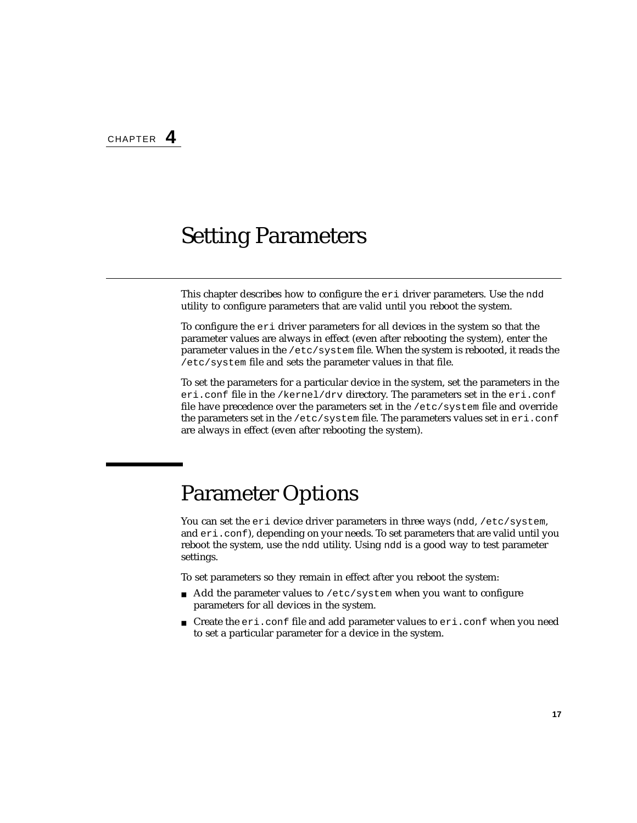## <span id="page-28-6"></span><span id="page-28-2"></span><span id="page-28-0"></span>Setting Parameters

This chapter describes how to configure the eri driver parameters. Use the ndd utility to configure parameters that are valid until you reboot the system.

<span id="page-28-3"></span>To configure the eri driver parameters for all devices in the system so that the parameter values are always in effect (even after rebooting the system), enter the parameter values in the /etc/system file. When the system is rebooted, it reads the /etc/system file and sets the parameter values in that file.

<span id="page-28-4"></span>To set the parameters for a particular device in the system, set the parameters in the eri.conf file in the /kernel/drv directory. The parameters set in the eri.conf file have precedence over the parameters set in the /etc/system file and override the parameters set in the /etc/system file. The parameters values set in eri.conf are always in effect (even after rebooting the system).

## <span id="page-28-5"></span><span id="page-28-1"></span>Parameter Options

You can set the eri device driver parameters in three ways (ndd, /etc/system, and eri.conf), depending on your needs. To set parameters that are valid until you reboot the system, use the ndd utility. Using ndd is a good way to test parameter settings.

To set parameters so they remain in effect after you reboot the system:

- $\blacksquare$  Add the parameter values to /etc/system when you want to configure parameters for all devices in the system.
- Create the eri.confile and add parameter values to eri.conf when you need to set a particular parameter for a device in the system.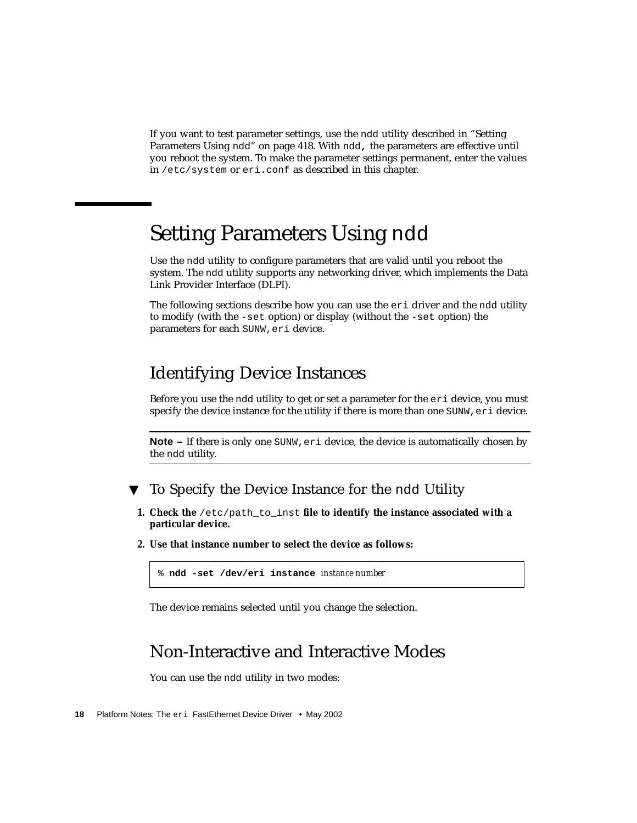If you want to test parameter settings, use the ndd utility described in ["Setting](#page-29-0) [Parameters Using](#page-29-0) ndd" on page 418. With ndd, the parameters are effective until you reboot the system. To make the parameter settings permanent, enter the values in /etc/system or eri.conf as described in this chapter.

## <span id="page-29-8"></span><span id="page-29-0"></span>Setting Parameters Using ndd

<span id="page-29-5"></span>Use the ndd utility to configure parameters that are valid until you reboot the system. The ndd utility supports any networking driver, which implements the Data Link Provider Interface (DLPI).

The following sections describe how you can use the eri driver and the ndd utility to modify (with the -set option) or display (without the -set option) the parameters for each SUNW,eri device.

### <span id="page-29-1"></span>Identifying Device Instances

<span id="page-29-7"></span><span id="page-29-4"></span>Before you use the ndd utility to get or set a parameter for the eri device, you must specify the device instance for the utility if there is more than one SUNW, eri device.

**Note –** If there is only one SUNW, extidence, the device is automatically chosen by the ndd utility.

- <span id="page-29-2"></span>To Specify the Device Instance for the ndd Utility
- <span id="page-29-6"></span>**1. Check the** /etc/path\_to\_inst **file to identify the instance associated with a particular device.**
- **2. Use that instance number to select the device as follows:**

% **ndd -set /dev/eri instance** *instance number*

The device remains selected until you change the selection.

### <span id="page-29-3"></span>Non-Interactive and Interactive Modes

You can use the ndd utility in two modes: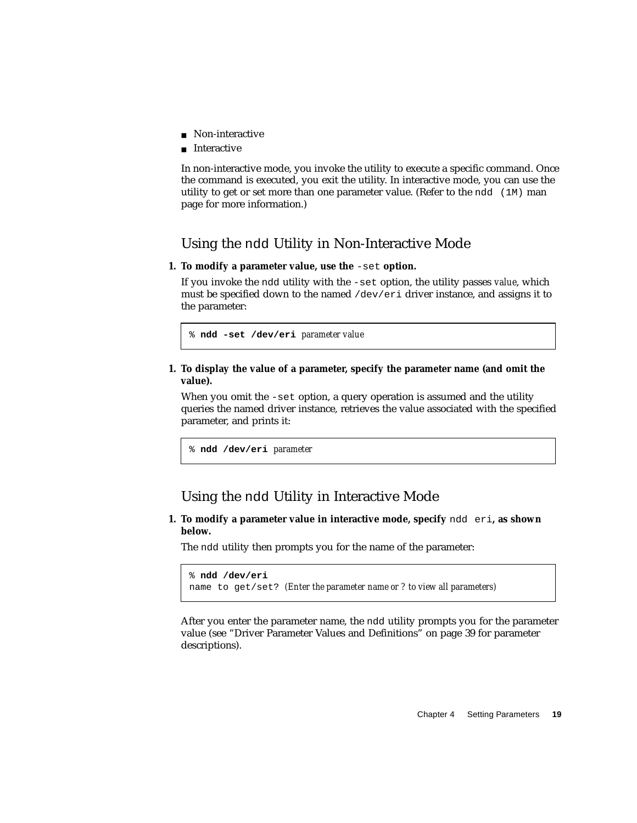- Non-interactive
- Interactive

In non-interactive mode, you invoke the utility to execute a specific command. Once the command is executed, you exit the utility. In interactive mode, you can use the utility to get or set more than one parameter value. (Refer to the ndd  $(1M)$  man page for more information.)

#### <span id="page-30-3"></span>Using the ndd Utility in Non-Interactive Mode

<span id="page-30-0"></span>**1. To modify a parameter value, use the** -set **option.**

If you invoke the ndd utility with the -set option, the utility passes *value*, which must be specified down to the named  $/$ dev $/$ eri driver instance, and assigns it to the parameter:

% **ndd -set /dev/eri** *parameter value*

**1. To display the value of a parameter, specify the parameter name (and omit the value).**

When you omit the -set option, a query operation is assumed and the utility queries the named driver instance, retrieves the value associated with the specified parameter, and prints it:

<span id="page-30-2"></span>% **ndd /dev/eri** *parameter*

Using the ndd Utility in Interactive Mode

<span id="page-30-1"></span>**1. To modify a parameter value in interactive mode, specify** ndd eri**, as shown below.**

The ndd utility then prompts you for the name of the parameter:

```
% ndd /dev/eri
name to get/set? (Enter the parameter name or ? to view all parameters)
```
After you enter the parameter name, the ndd utility prompts you for the parameter value (see ["Driver Parameter Values and Definitions" on page 39](#page-20-3) for parameter descriptions).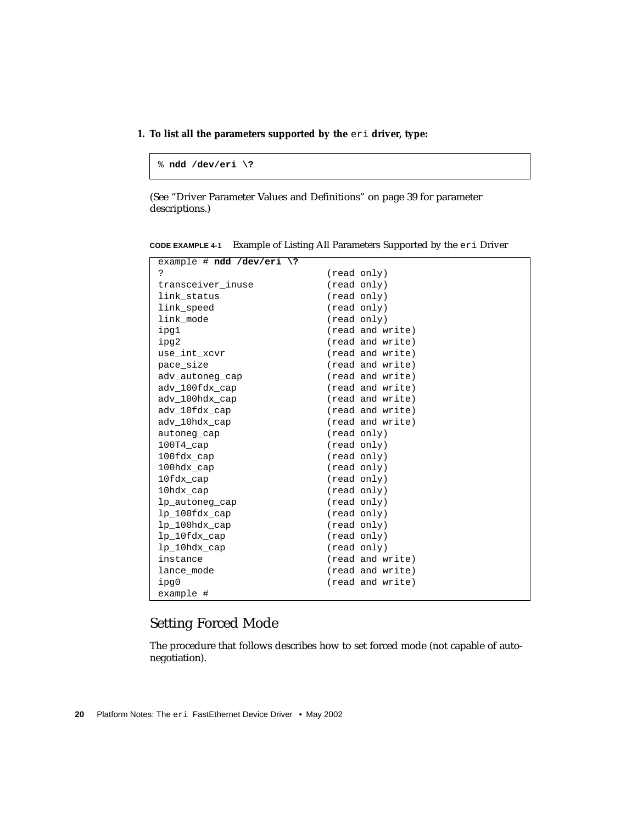**1. To list all the parameters supported by the** eri **driver, type:**

```
% ndd /dev/eri \?
```
(See ["Driver Parameter Values and Definitions" on page 39](#page-20-3) for parameter descriptions.)

**CODE EXAMPLE 4-1** Example of Listing All Parameters Supported by the eri Driver

| example # $ndd /dev/eri \$ ? |                  |
|------------------------------|------------------|
| P                            | (read only)      |
| transceiver inuse            | (read only)      |
| link status                  | (read only)      |
| link_speed                   | (read only)      |
| link_mode                    | (read only)      |
| ipq1                         | (read and write) |
| ipq2                         | (read and write) |
| use int xcvr                 | (read and write) |
| pace size                    | (read and write) |
| adv_autoneg_cap              | (read and write) |
| adv_100fdx_cap               | (read and write) |
| adv_100hdx_cap               | (read and write) |
| adv_10fdx_cap                | (read and write) |
| adv_10hdx_cap                | (read and write) |
| autoneg_cap                  | (read only)      |
| $100T4$ cap                  | (read only)      |
| 100fdx_cap                   | (read only)      |
| 100hdx_cap                   | (read only)      |
| $10fdx$ cap                  | (read only)      |
| 10hdx_cap                    | (read only)      |
| lp_autoneg_cap               | (read only)      |
| $lp_100fdx_cap$              | (read only)      |
| lp_100hdx_cap                | (read only)      |
| lp_10fdx_cap                 | (read only)      |
| lp_10hdx_cap                 | (read only)      |
| instance                     | (read and write) |
| lance mode                   | (read and write) |
| ipg0                         | (read and write) |
| example #                    |                  |

### <span id="page-31-1"></span><span id="page-31-0"></span>Setting Forced Mode

The procedure that follows describes how to set forced mode (not capable of autonegotiation).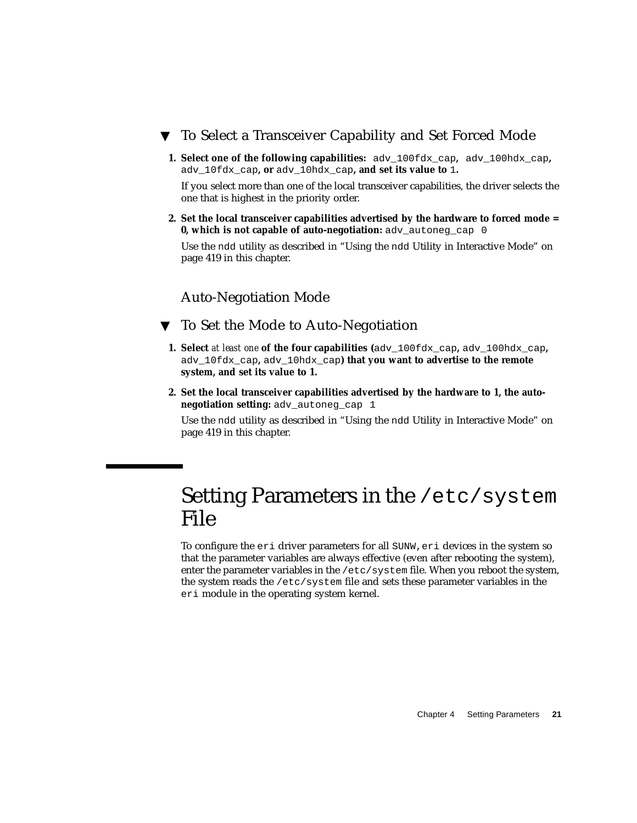### <span id="page-32-0"></span>To Select a Transceiver Capability and Set Forced Mode

**1. Select one of the following capabilities:** adv\_100fdx\_cap**,** adv\_100hdx\_cap**,** adv\_10fdx\_cap**, or** adv\_10hdx\_cap**, and set its value to** 1**.**

If you select more than one of the local transceiver capabilities, the driver selects the one that is highest in the priority order.

**2. Set the local transceiver capabilities advertised by the hardware to forced mode = 0, which is not capable of auto-negotiation:** adv\_autoneg\_cap 0

Use the ndd utility as described in "Using the ndd [Utility in Interactive Mode" on](#page-30-1) [page 419](#page-30-1) in this chapter.

#### <span id="page-32-5"></span>Auto-Negotiation Mode

#### <span id="page-32-2"></span><span id="page-32-1"></span>▼ To Set the Mode to Auto-Negotiation

- **1. Select** *at least one* **of the four capabilities (**adv\_100fdx\_cap**,** adv\_100hdx\_cap**,** adv\_10fdx\_cap**,** adv\_10hdx\_cap**) that you want to advertise to the remote system, and set its value to 1.**
- **2. Set the local transceiver capabilities advertised by the hardware to 1, the autonegotiation setting:** adv\_autoneg\_cap 1

Use the ndd utility as described in "Using the ndd [Utility in Interactive Mode" on](#page-30-1) [page 419](#page-30-1) in this chapter.

## <span id="page-32-3"></span>Setting Parameters in the /etc/system File

<span id="page-32-6"></span><span id="page-32-4"></span>To configure the eri driver parameters for all SUNW,eri devices in the system so that the parameter variables are always effective (even after rebooting the system), enter the parameter variables in the  $/etc/system$  file. When you reboot the system, the system reads the /etc/system file and sets these parameter variables in the eri module in the operating system kernel.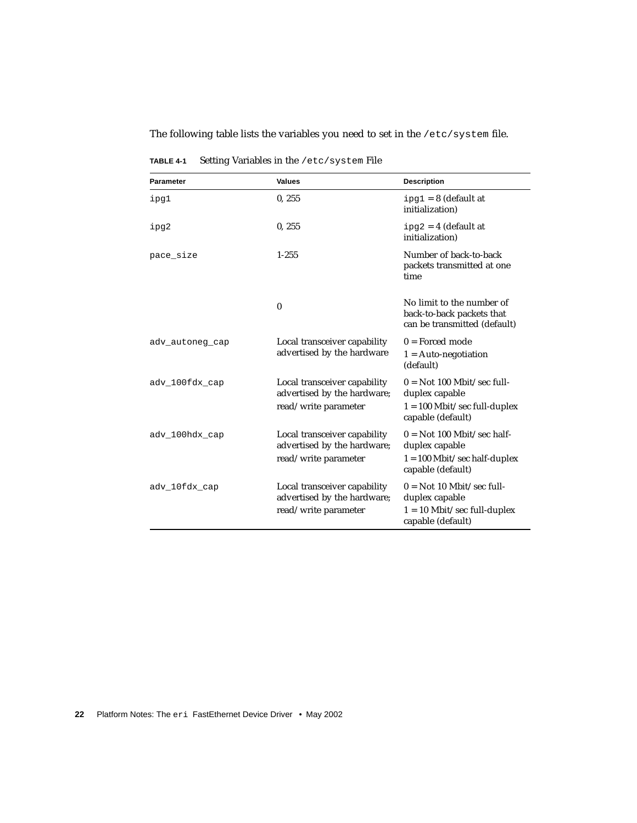The following table lists the variables you need to set in the /etc/system file.

<span id="page-33-6"></span><span id="page-33-5"></span><span id="page-33-4"></span><span id="page-33-3"></span><span id="page-33-2"></span><span id="page-33-1"></span><span id="page-33-0"></span>

| <b>Parameter</b> | <b>Values</b>                                                                       | <b>Description</b>                                                                                    |
|------------------|-------------------------------------------------------------------------------------|-------------------------------------------------------------------------------------------------------|
| ipg1             | 0, 255                                                                              | $ipg1 = 8$ (default at<br>initialization)                                                             |
| ipg2             | 0, 255                                                                              | $ipg2 = 4$ (default at<br>initialization)                                                             |
| pace_size        | $1 - 255$                                                                           | Number of back-to-back<br>packets transmitted at one<br>time                                          |
|                  | $\mathbf{0}$                                                                        | No limit to the number of<br>back-to-back packets that<br>can be transmitted (default)                |
| adv_autoneg_cap  | Local transceiver capability<br>advertised by the hardware                          | $0 =$ Forced mode<br>$1 = Auto-negotiation$<br>(default)                                              |
| adv_100fdx_cap   | Local transceiver capability<br>advertised by the hardware;<br>read/write parameter | $0 =$ Not 100 Mbit/sec full-<br>duplex capable<br>$1 = 100$ Mbit/sec full-duplex<br>capable (default) |
| adv_100hdx_cap   | Local transceiver capability<br>advertised by the hardware;<br>read/write parameter | $0 =$ Not 100 Mbit/sec half-<br>duplex capable<br>$1 = 100$ Mbit/sec half-duplex<br>capable (default) |
| adv_10fdx_cap    | Local transceiver capability<br>advertised by the hardware;<br>read/write parameter | $0 =$ Not 10 Mbit/sec full-<br>duplex capable<br>$1 = 10$ Mbit/sec full-duplex<br>capable (default)   |

**TABLE 4-1** Setting Variables in the /etc/system File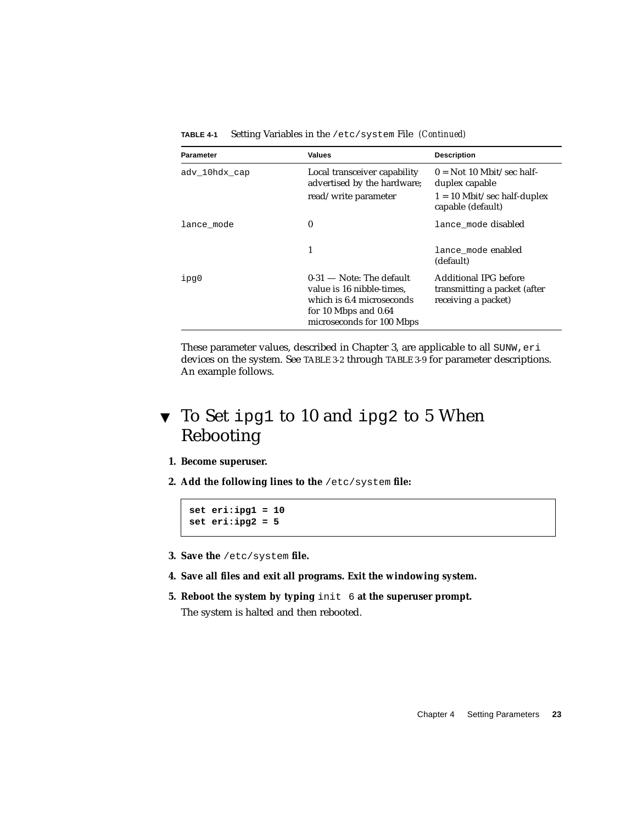<span id="page-34-4"></span><span id="page-34-2"></span>

| <b>Parameter</b> | <b>Values</b>                                                                                                                             | <b>Description</b>                                                                                  |
|------------------|-------------------------------------------------------------------------------------------------------------------------------------------|-----------------------------------------------------------------------------------------------------|
| adv_10hdx_cap    | Local transceiver capability<br>advertised by the hardware;<br>read/write parameter                                                       | $0 =$ Not 10 Mbit/sec half-<br>duplex capable<br>$1 = 10$ Mbit/sec half-duplex<br>capable (default) |
| lance mode       | $\bf{0}$                                                                                                                                  | lance mode disabled                                                                                 |
|                  | 1                                                                                                                                         | lance mode enabled<br>(default)                                                                     |
| ipg0             | $0-31$ — Note: The default<br>value is 16 nibble-times.<br>which is 6.4 microseconds<br>for 10 Mbps and 0.64<br>microseconds for 100 Mbps | Additional IPG before<br>transmitting a packet (after<br>receiving a packet)                        |

**TABLE 4-1** Setting Variables in the /etc/system File *(Continued)*

<span id="page-34-3"></span>These parameter values, described in [Chapter 3,](#page-20-2) are applicable to all SUNW, eri devices on the system. See [TABLE 3-2](#page-22-2) through [TABLE 3-9](#page-27-1) for parameter descriptions. An example follows.

### <span id="page-34-0"></span>▼ To Set ipg1 to 10 and ipg2 to 5 When Rebooting

- **1. Become superuser.**
- **2. Add the following lines to the** /etc/system **file:**

```
set eri:ipg1 = 10
set eri:ipg2 = 5
```
- **3. Save the** /etc/system **file.**
- **4. Save all files and exit all programs. Exit the windowing system.**
- **5. Reboot the system by typing** init 6 **at the superuser prompt.** The system is halted and then rebooted.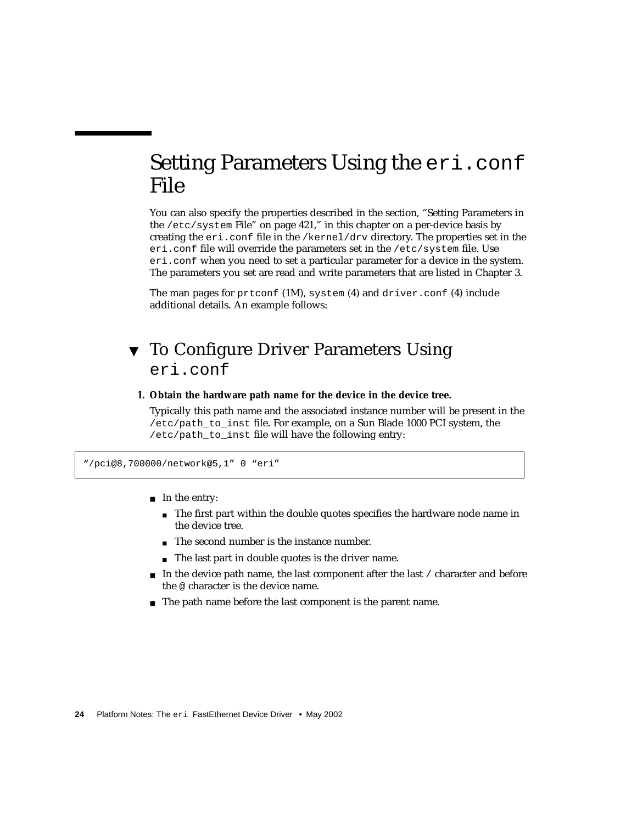# <span id="page-35-6"></span><span id="page-35-0"></span>Setting Parameters Using the eri.conf File

<span id="page-35-4"></span>You can also specify the properties described in the section, ["Setting Parameters in](#page-32-3) the  $/etc/system$  [File" on page 421,](#page-32-3)" in this chapter on a per-device basis by creating the  $eri$ . conf file in the /kernel/dry directory. The properties set in the eri.conf file will override the parameters set in the /etc/system file. Use eri.conf when you need to set a particular parameter for a device in the system. The parameters you set are read and write parameters that are listed in [Chapter 3.](#page-20-2)

The man pages for  $prtconf$  (1M), system (4) and driver.conf (4) include additional details. An example follows:

### <span id="page-35-1"></span>▼ To Configure Driver Parameters Using eri.conf

**1. Obtain the hardware path name for the device in the device tree.**

<span id="page-35-3"></span><span id="page-35-2"></span>Typically this path name and the associated instance number will be present in the /etc/path\_to\_inst file. For example, on a Sun Blade 1000 PCI system, the /etc/path\_to\_inst file will have the following entry:

"/pci@8,700000/network@5,1" 0 "eri"

- In the entry:
	- The first part within the double quotes specifies the hardware node name in the device tree.
	- The second number is the instance number.
	- The last part in double quotes is the driver name.
- $\blacksquare$  In the device path name, the last component after the last / character and before the @ character is the device name.
- <span id="page-35-5"></span>■ The path name before the last component is the parent name.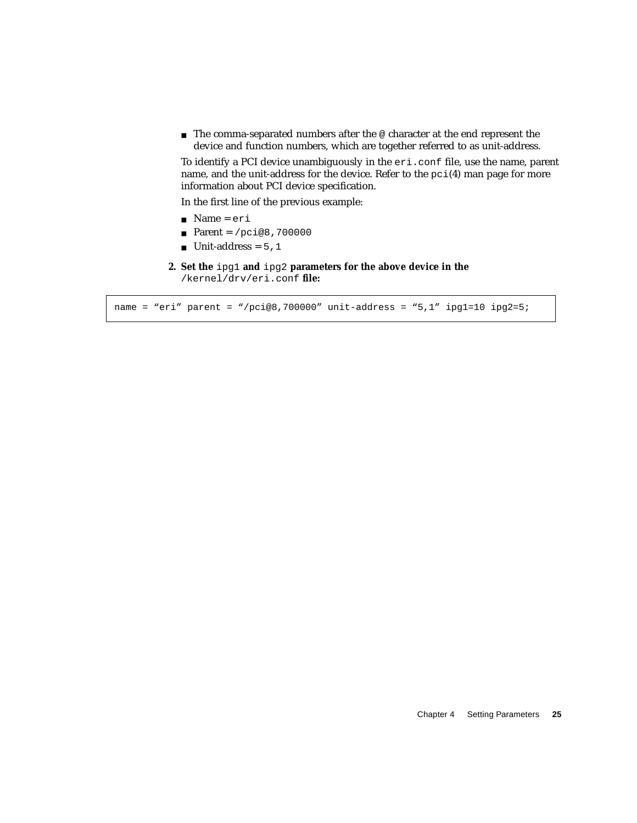<span id="page-36-1"></span>■ The comma-separated numbers after the @ character at the end represent the device and function numbers, which are together referred to as unit-address.

To identify a PCI device unambiguously in the eri.conf file, use the name, parent name, and the unit-address for the device. Refer to the  $pci(4)$  man page for more information about PCI device specification.

In the first line of the previous example:

- Name = eri
- Parent =  $/pci@8,700000$
- Unit-address =  $5, 1$
- <span id="page-36-0"></span>**2. Set the** ipg1 **and** ipg2 **parameters for the above device in the** /kernel/drv/eri.conf **file:**

name = "eri" parent = "/pci@8,700000" unit-address = "5,1" ipg1=10 ipg2=5;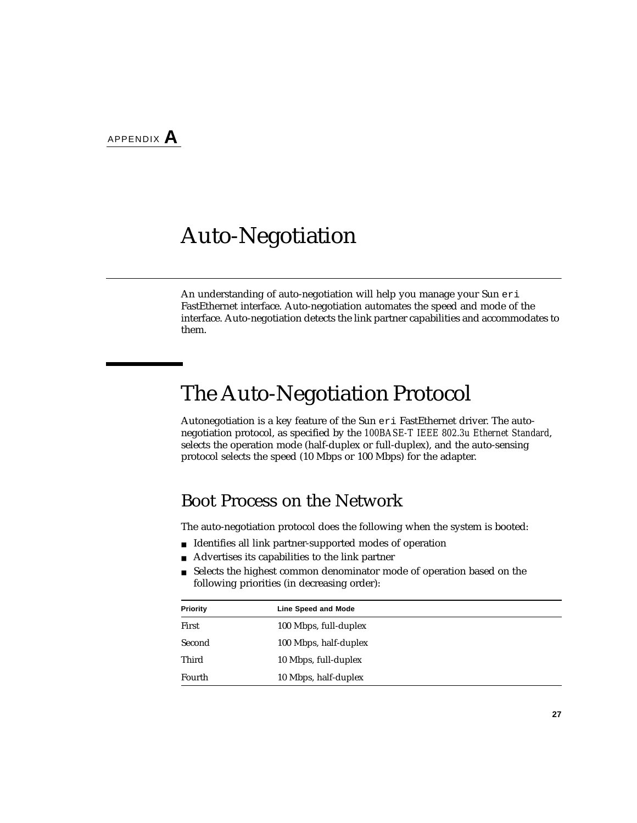# <span id="page-38-3"></span><span id="page-38-0"></span>Auto-Negotiation

An understanding of auto-negotiation will help you manage your Sun eri FastEthernet interface. Auto-negotiation automates the speed and mode of the interface. Auto-negotiation detects the link partner capabilities and accommodates to them.

# <span id="page-38-1"></span>The Auto-Negotiation Protocol

Autonegotiation is a key feature of the Sun eri FastEthernet driver. The autonegotiation protocol, as specified by the *100BASE-T IEEE 802.3u Ethernet Standard*, selects the operation mode (half-duplex or full-duplex), and the auto-sensing protocol selects the speed (10 Mbps or 100 Mbps) for the adapter.

### <span id="page-38-2"></span>Boot Process on the Network

The auto-negotiation protocol does the following when the system is booted:

- Identifies all link partner-supported modes of operation
- Advertises its capabilities to the link partner
- Selects the highest common denominator mode of operation based on the following priorities (in decreasing order):

| Priority | Line Speed and Mode   |  |
|----------|-----------------------|--|
| First    | 100 Mbps, full-duplex |  |
| Second   | 100 Mbps, half-duplex |  |
| Third    | 10 Mbps, full-duplex  |  |
| Fourth   | 10 Mbps, half-duplex  |  |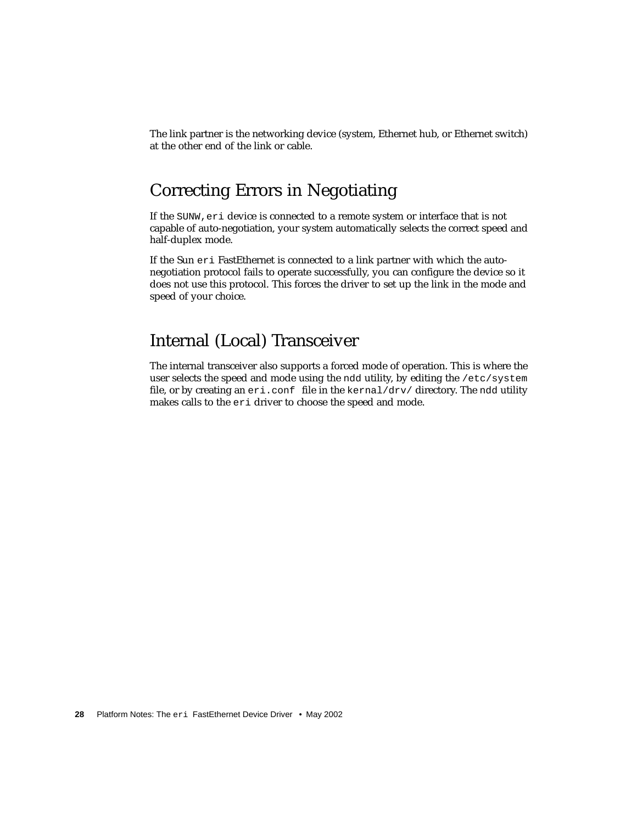The link partner is the networking device (system, Ethernet hub, or Ethernet switch) at the other end of the link or cable.

### <span id="page-39-0"></span>Correcting Errors in Negotiating

If the SUNW,eri device is connected to a remote system or interface that is not capable of auto-negotiation, your system automatically selects the correct speed and half-duplex mode.

If the Sun eri FastEthernet is connected to a link partner with which the autonegotiation protocol fails to operate successfully, you can configure the device so it does not use this protocol. This forces the driver to set up the link in the mode and speed of your choice.

### <span id="page-39-1"></span>Internal (Local) Transceiver

The internal transceiver also supports a forced mode of operation. This is where the user selects the speed and mode using the ndd utility, by editing the /etc/system file, or by creating an  $eri$ .conf file in the kernal/drv/ directory. The ndd utility makes calls to the eri driver to choose the speed and mode.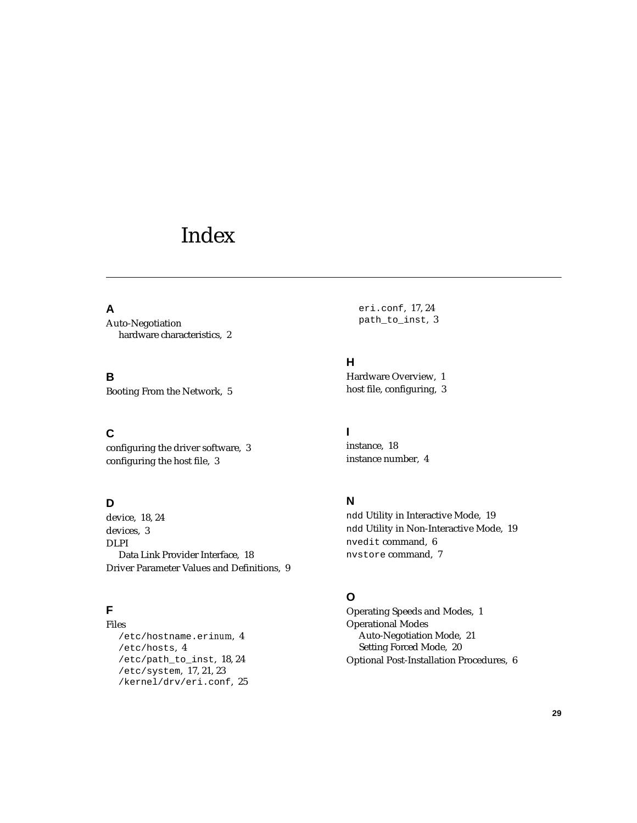## <span id="page-40-0"></span>Index

#### **A**

Auto-Negotiation [hardware characteristics, 2](#page-13-1)

### **B**

[Booting From the Network, 5](#page-16-2)

### **C**

[configuring the driver software, 3](#page-14-5) [configuring the host file, 3](#page-14-6)

### **D**

[device, 18,](#page-29-4) [24](#page-35-2) [devices, 3](#page-14-7) DLPI [Data Link Provider Interface, 18](#page-29-5) [Driver Parameter Values and Definitions, 9](#page-20-3)

### **F**

Files /etc/hostname.eri*num*[, 4](#page-15-0) /etc/hosts[, 4](#page-15-1) /etc/path\_to\_inst[, 18,](#page-29-6) [24](#page-35-3) /etc/system[, 17,](#page-28-3) [21,](#page-32-4) [23](#page-34-1) /kernel/drv/eri.conf[, 25](#page-36-0)

eri.conf[, 17,](#page-28-4) [24](#page-35-4) path\_to\_inst[, 3](#page-14-8)

#### **H**

[Hardware Overview, 1](#page-12-4) [host file, configuring, 3](#page-14-6)

#### **I**

[instance, 18](#page-29-7) [instance number, 4](#page-15-2)

#### **N**

ndd [Utility in Interactive Mode, 19](#page-30-2) ndd [Utility in Non-Interactive Mode, 19](#page-30-3) nvedit [command, 6](#page-17-3) nvstore [command, 7](#page-18-0)

#### **O**

[Operating Speeds and Modes, 1](#page-12-5) Operational Modes [Auto-Negotiation Mode, 21](#page-32-5) [Setting Forced Mode, 20](#page-31-1) [Optional Post-Installation Procedures, 6](#page-17-4)